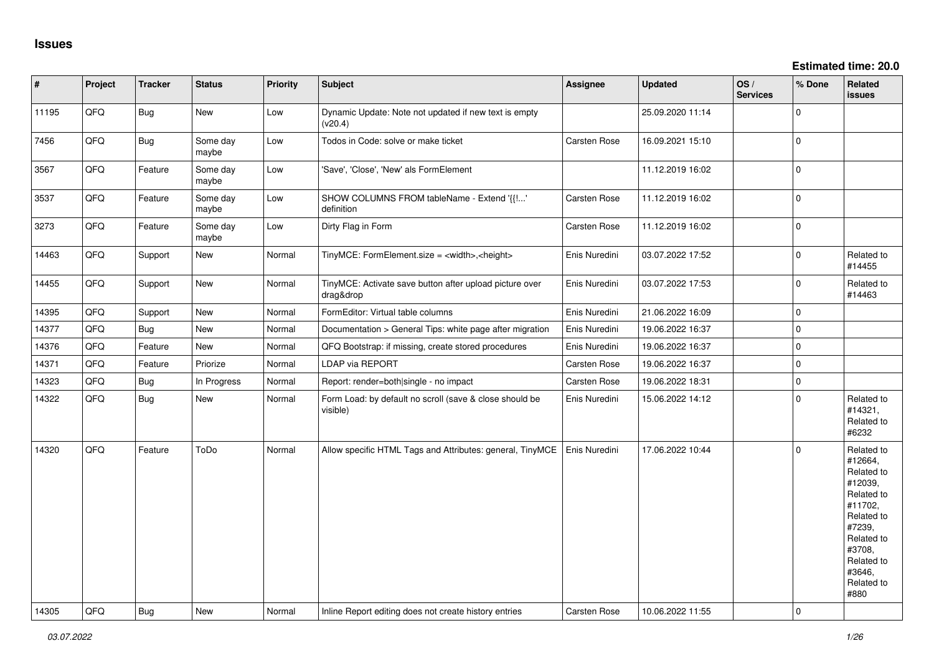| $\sharp$ | Project | <b>Tracker</b> | <b>Status</b>     | <b>Priority</b> | Subject                                                              | <b>Assignee</b>     | <b>Updated</b>   | OS/<br><b>Services</b> | % Done       | <b>Related</b><br>issues                                                                                                                                              |
|----------|---------|----------------|-------------------|-----------------|----------------------------------------------------------------------|---------------------|------------------|------------------------|--------------|-----------------------------------------------------------------------------------------------------------------------------------------------------------------------|
| 11195    | QFQ     | <b>Bug</b>     | New               | Low             | Dynamic Update: Note not updated if new text is empty<br>(v20.4)     |                     | 25.09.2020 11:14 |                        | $\mathbf 0$  |                                                                                                                                                                       |
| 7456     | QFQ     | <b>Bug</b>     | Some day<br>maybe | Low             | Todos in Code: solve or make ticket                                  | Carsten Rose        | 16.09.2021 15:10 |                        | $\mathbf{0}$ |                                                                                                                                                                       |
| 3567     | QFQ     | Feature        | Some day<br>maybe | Low             | 'Save', 'Close', 'New' als FormElement                               |                     | 11.12.2019 16:02 |                        | $\mathbf 0$  |                                                                                                                                                                       |
| 3537     | QFQ     | Feature        | Some day<br>mavbe | Low             | SHOW COLUMNS FROM tableName - Extend '{{'<br>definition              | Carsten Rose        | 11.12.2019 16:02 |                        | 0            |                                                                                                                                                                       |
| 3273     | QFQ     | Feature        | Some day<br>maybe | Low             | Dirty Flag in Form                                                   | Carsten Rose        | 11.12.2019 16:02 |                        | $\mathbf{0}$ |                                                                                                                                                                       |
| 14463    | QFQ     | Support        | New               | Normal          | TinyMCE: FormElement.size = <width>,<height></height></width>        | Enis Nuredini       | 03.07.2022 17:52 |                        | 0            | Related to<br>#14455                                                                                                                                                  |
| 14455    | QFQ     | Support        | New               | Normal          | TinyMCE: Activate save button after upload picture over<br>drag&drop | Enis Nuredini       | 03.07.2022 17:53 |                        | $\mathbf 0$  | Related to<br>#14463                                                                                                                                                  |
| 14395    | QFQ     | Support        | New               | Normal          | FormEditor: Virtual table columns                                    | Enis Nuredini       | 21.06.2022 16:09 |                        | $\mathbf 0$  |                                                                                                                                                                       |
| 14377    | QFQ     | Bug            | New               | Normal          | Documentation > General Tips: white page after migration             | Enis Nuredini       | 19.06.2022 16:37 |                        | $\mathbf 0$  |                                                                                                                                                                       |
| 14376    | QFQ     | Feature        | New               | Normal          | QFQ Bootstrap: if missing, create stored procedures                  | Enis Nuredini       | 19.06.2022 16:37 |                        | $\mathbf 0$  |                                                                                                                                                                       |
| 14371    | QFQ     | Feature        | Priorize          | Normal          | LDAP via REPORT                                                      | Carsten Rose        | 19.06.2022 16:37 |                        | $\mathbf 0$  |                                                                                                                                                                       |
| 14323    | QFQ     | <b>Bug</b>     | In Progress       | Normal          | Report: render=both single - no impact                               | <b>Carsten Rose</b> | 19.06.2022 18:31 |                        | $\mathbf 0$  |                                                                                                                                                                       |
| 14322    | QFQ.    | <b>Bug</b>     | New               | Normal          | Form Load: by default no scroll (save & close should be<br>visible)  | Enis Nuredini       | 15.06.2022 14:12 |                        | 0            | Related to<br>#14321,<br>Related to<br>#6232                                                                                                                          |
| 14320    | QFQ     | Feature        | ToDo              | Normal          | Allow specific HTML Tags and Attributes: general, TinyMCE            | Enis Nuredini       | 17.06.2022 10:44 |                        | 0            | Related to<br>#12664,<br>Related to<br>#12039,<br>Related to<br>#11702,<br>Related to<br>#7239,<br>Related to<br>#3708,<br>Related to<br>#3646,<br>Related to<br>#880 |
| 14305    | QFQ     | Bug            | New               | Normal          | Inline Report editing does not create history entries                | Carsten Rose        | 10.06.2022 11:55 |                        | $\mathbf 0$  |                                                                                                                                                                       |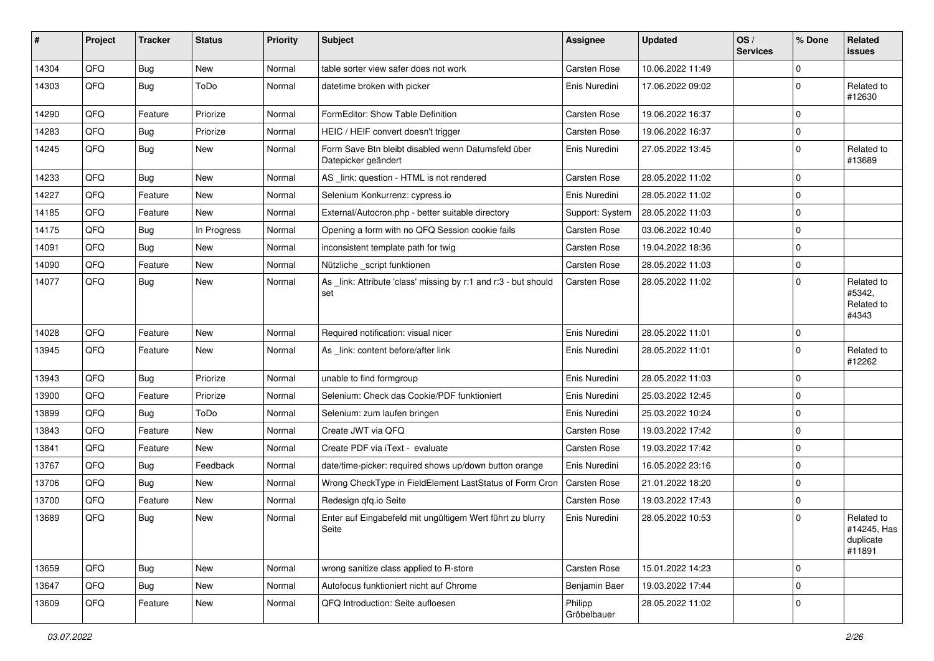| #     | Project | <b>Tracker</b> | <b>Status</b> | <b>Priority</b> | Subject                                                                   | Assignee               | <b>Updated</b>   | OS/<br><b>Services</b> | % Done      | Related<br>issues                                |
|-------|---------|----------------|---------------|-----------------|---------------------------------------------------------------------------|------------------------|------------------|------------------------|-------------|--------------------------------------------------|
| 14304 | QFQ     | <b>Bug</b>     | New           | Normal          | table sorter view safer does not work                                     | <b>Carsten Rose</b>    | 10.06.2022 11:49 |                        | $\Omega$    |                                                  |
| 14303 | QFQ     | <b>Bug</b>     | ToDo          | Normal          | datetime broken with picker                                               | Enis Nuredini          | 17.06.2022 09:02 |                        | $\Omega$    | Related to<br>#12630                             |
| 14290 | QFQ     | Feature        | Priorize      | Normal          | FormEditor: Show Table Definition                                         | Carsten Rose           | 19.06.2022 16:37 |                        | $\Omega$    |                                                  |
| 14283 | QFQ     | <b>Bug</b>     | Priorize      | Normal          | HEIC / HEIF convert doesn't trigger                                       | Carsten Rose           | 19.06.2022 16:37 |                        | $\Omega$    |                                                  |
| 14245 | QFQ     | <b>Bug</b>     | New           | Normal          | Form Save Btn bleibt disabled wenn Datumsfeld über<br>Datepicker geändert | Enis Nuredini          | 27.05.2022 13:45 |                        | $\Omega$    | Related to<br>#13689                             |
| 14233 | QFQ     | <b>Bug</b>     | <b>New</b>    | Normal          | AS _link: question - HTML is not rendered                                 | Carsten Rose           | 28.05.2022 11:02 |                        | $\Omega$    |                                                  |
| 14227 | QFQ     | Feature        | <b>New</b>    | Normal          | Selenium Konkurrenz: cypress.io                                           | Enis Nuredini          | 28.05.2022 11:02 |                        | $\Omega$    |                                                  |
| 14185 | QFQ     | Feature        | New           | Normal          | External/Autocron.php - better suitable directory                         | Support: System        | 28.05.2022 11:03 |                        | $\Omega$    |                                                  |
| 14175 | QFQ     | Bug            | In Progress   | Normal          | Opening a form with no QFQ Session cookie fails                           | Carsten Rose           | 03.06.2022 10:40 |                        | $\mathbf 0$ |                                                  |
| 14091 | QFQ     | Bug            | <b>New</b>    | Normal          | inconsistent template path for twig                                       | Carsten Rose           | 19.04.2022 18:36 |                        | $\mathbf 0$ |                                                  |
| 14090 | QFQ     | Feature        | New           | Normal          | Nützliche _script funktionen                                              | Carsten Rose           | 28.05.2022 11:03 |                        | $\mathbf 0$ |                                                  |
| 14077 | QFQ     | <b>Bug</b>     | New           | Normal          | As _link: Attribute 'class' missing by r:1 and r:3 - but should<br>set    | Carsten Rose           | 28.05.2022 11:02 |                        | $\Omega$    | Related to<br>#5342,<br>Related to<br>#4343      |
| 14028 | QFQ     | Feature        | New           | Normal          | Required notification: visual nicer                                       | Enis Nuredini          | 28.05.2022 11:01 |                        | $\mathbf 0$ |                                                  |
| 13945 | QFQ     | Feature        | New           | Normal          | As _link: content before/after link                                       | Enis Nuredini          | 28.05.2022 11:01 |                        | $\Omega$    | Related to<br>#12262                             |
| 13943 | QFQ     | Bug            | Priorize      | Normal          | unable to find formgroup                                                  | Enis Nuredini          | 28.05.2022 11:03 |                        | $\Omega$    |                                                  |
| 13900 | QFQ     | Feature        | Priorize      | Normal          | Selenium: Check das Cookie/PDF funktioniert                               | Enis Nuredini          | 25.03.2022 12:45 |                        | $\mathbf 0$ |                                                  |
| 13899 | QFQ     | Bug            | ToDo          | Normal          | Selenium: zum laufen bringen                                              | Enis Nuredini          | 25.03.2022 10:24 |                        | $\mathbf 0$ |                                                  |
| 13843 | QFQ     | Feature        | New           | Normal          | Create JWT via QFQ                                                        | Carsten Rose           | 19.03.2022 17:42 |                        | $\Omega$    |                                                  |
| 13841 | QFQ     | Feature        | New           | Normal          | Create PDF via iText - evaluate                                           | Carsten Rose           | 19.03.2022 17:42 |                        | $\Omega$    |                                                  |
| 13767 | QFQ     | Bug            | Feedback      | Normal          | date/time-picker: required shows up/down button orange                    | Enis Nuredini          | 16.05.2022 23:16 |                        | $\Omega$    |                                                  |
| 13706 | QFQ     | <b>Bug</b>     | New           | Normal          | Wrong CheckType in FieldElement LastStatus of Form Cron                   | Carsten Rose           | 21.01.2022 18:20 |                        | $\mathbf 0$ |                                                  |
| 13700 | QFQ     | Feature        | <b>New</b>    | Normal          | Redesign qfq.io Seite                                                     | Carsten Rose           | 19.03.2022 17:43 |                        | $\mathbf 0$ |                                                  |
| 13689 | QFQ     | <b>Bug</b>     | New           | Normal          | Enter auf Eingabefeld mit ungültigem Wert führt zu blurry<br>Seite        | Enis Nuredini          | 28.05.2022 10:53 |                        | $\Omega$    | Related to<br>#14245, Has<br>duplicate<br>#11891 |
| 13659 | QFQ     | Bug            | New           | Normal          | wrong sanitize class applied to R-store                                   | Carsten Rose           | 15.01.2022 14:23 |                        | $\Omega$    |                                                  |
| 13647 | QFQ     | <b>Bug</b>     | New           | Normal          | Autofocus funktioniert nicht auf Chrome                                   | Benjamin Baer          | 19.03.2022 17:44 |                        | $\mathbf 0$ |                                                  |
| 13609 | QFQ     | Feature        | New           | Normal          | QFQ Introduction: Seite aufloesen                                         | Philipp<br>Gröbelbauer | 28.05.2022 11:02 |                        | $\mathbf 0$ |                                                  |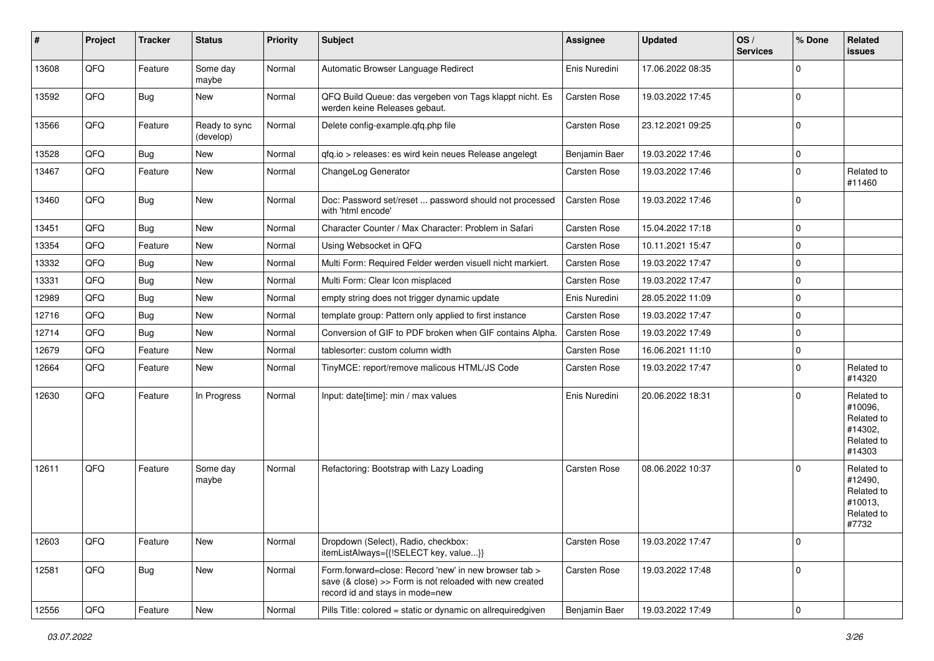| #     | Project | <b>Tracker</b> | <b>Status</b>              | <b>Priority</b> | Subject                                                                                                                                             | <b>Assignee</b> | <b>Updated</b>   | OS/<br><b>Services</b> | % Done              | Related<br>issues                                                      |
|-------|---------|----------------|----------------------------|-----------------|-----------------------------------------------------------------------------------------------------------------------------------------------------|-----------------|------------------|------------------------|---------------------|------------------------------------------------------------------------|
| 13608 | QFQ     | Feature        | Some day<br>maybe          | Normal          | Automatic Browser Language Redirect                                                                                                                 | Enis Nuredini   | 17.06.2022 08:35 |                        | $\Omega$            |                                                                        |
| 13592 | QFQ     | Bug            | New                        | Normal          | QFQ Build Queue: das vergeben von Tags klappt nicht. Es<br>werden keine Releases gebaut.                                                            | Carsten Rose    | 19.03.2022 17:45 |                        | $\Omega$            |                                                                        |
| 13566 | QFQ     | Feature        | Ready to sync<br>(develop) | Normal          | Delete config-example.qfq.php file                                                                                                                  | Carsten Rose    | 23.12.2021 09:25 |                        | $\Omega$            |                                                                        |
| 13528 | QFQ     | Bug            | <b>New</b>                 | Normal          | gfg.io > releases: es wird kein neues Release angelegt                                                                                              | Benjamin Baer   | 19.03.2022 17:46 |                        | $\mathbf 0$         |                                                                        |
| 13467 | QFQ     | Feature        | New                        | Normal          | ChangeLog Generator                                                                                                                                 | Carsten Rose    | 19.03.2022 17:46 |                        | $\Omega$            | Related to<br>#11460                                                   |
| 13460 | QFQ     | Bug            | New                        | Normal          | Doc: Password set/reset  password should not processed<br>with 'html encode'                                                                        | Carsten Rose    | 19.03.2022 17:46 |                        | $\mathbf 0$         |                                                                        |
| 13451 | QFQ     | Bug            | New                        | Normal          | Character Counter / Max Character: Problem in Safari                                                                                                | Carsten Rose    | 15.04.2022 17:18 |                        | $\mathbf 0$         |                                                                        |
| 13354 | QFQ     | Feature        | New                        | Normal          | Using Websocket in QFQ                                                                                                                              | Carsten Rose    | 10.11.2021 15:47 |                        | $\mathbf 0$         |                                                                        |
| 13332 | QFQ     | Bug            | New                        | Normal          | Multi Form: Required Felder werden visuell nicht markiert.                                                                                          | Carsten Rose    | 19.03.2022 17:47 |                        | $\Omega$            |                                                                        |
| 13331 | QFQ     | Bug            | New                        | Normal          | Multi Form: Clear Icon misplaced                                                                                                                    | Carsten Rose    | 19.03.2022 17:47 |                        | $\mathbf 0$         |                                                                        |
| 12989 | QFQ     | <b>Bug</b>     | New                        | Normal          | empty string does not trigger dynamic update                                                                                                        | Enis Nuredini   | 28.05.2022 11:09 |                        | $\Omega$            |                                                                        |
| 12716 | QFQ     | <b>Bug</b>     | New                        | Normal          | template group: Pattern only applied to first instance                                                                                              | Carsten Rose    | 19.03.2022 17:47 |                        | $\Omega$            |                                                                        |
| 12714 | QFQ     | Bug            | New                        | Normal          | Conversion of GIF to PDF broken when GIF contains Alpha.                                                                                            | Carsten Rose    | 19.03.2022 17:49 |                        | $\mathbf 0$         |                                                                        |
| 12679 | QFQ     | Feature        | New                        | Normal          | tablesorter: custom column width                                                                                                                    | Carsten Rose    | 16.06.2021 11:10 |                        | $\Omega$            |                                                                        |
| 12664 | QFQ     | Feature        | New                        | Normal          | TinyMCE: report/remove malicous HTML/JS Code                                                                                                        | Carsten Rose    | 19.03.2022 17:47 |                        | $\Omega$            | Related to<br>#14320                                                   |
| 12630 | QFQ     | Feature        | In Progress                | Normal          | Input: date[time]: min / max values                                                                                                                 | Enis Nuredini   | 20.06.2022 18:31 |                        | $\Omega$            | Related to<br>#10096,<br>Related to<br>#14302,<br>Related to<br>#14303 |
| 12611 | QFQ     | Feature        | Some day<br>maybe          | Normal          | Refactoring: Bootstrap with Lazy Loading                                                                                                            | Carsten Rose    | 08.06.2022 10:37 |                        | $\Omega$            | Related to<br>#12490,<br>Related to<br>#10013,<br>Related to<br>#7732  |
| 12603 | QFQ     | Feature        | New                        | Normal          | Dropdown (Select), Radio, checkbox:<br>itemListAlways={{!SELECT key, value}}                                                                        | Carsten Rose    | 19.03.2022 17:47 |                        | $\mathbf 0$         |                                                                        |
| 12581 | QFQ     | <b>Bug</b>     | New                        | Normal          | Form forward=close: Record 'new' in new browser tab ><br>save (& close) >> Form is not reloaded with new created<br>record id and stays in mode=new | Carsten Rose    | 19.03.2022 17:48 |                        | $\mathbf 0$         |                                                                        |
| 12556 | QFQ     | Feature        | New                        | Normal          | Pills Title: colored = static or dynamic on allrequiredgiven                                                                                        | Benjamin Baer   | 19.03.2022 17:49 |                        | $\mathsf{O}\xspace$ |                                                                        |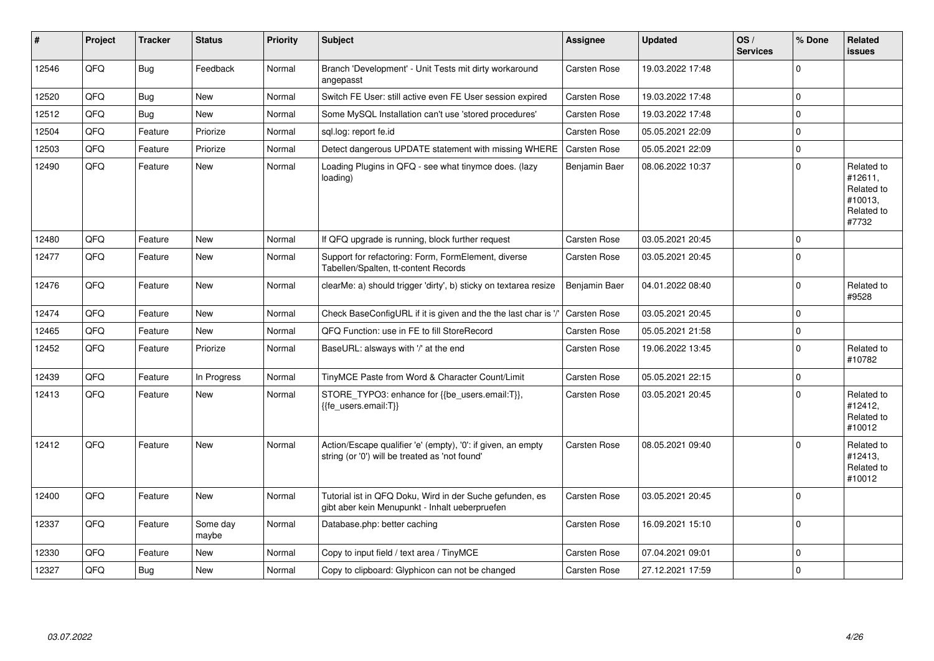| $\sharp$ | Project | <b>Tracker</b> | <b>Status</b>     | <b>Priority</b> | <b>Subject</b>                                                                                                 | Assignee            | <b>Updated</b>   | OS/<br><b>Services</b> | % Done      | Related<br><b>issues</b>                                              |
|----------|---------|----------------|-------------------|-----------------|----------------------------------------------------------------------------------------------------------------|---------------------|------------------|------------------------|-------------|-----------------------------------------------------------------------|
| 12546    | QFQ     | Bug            | Feedback          | Normal          | Branch 'Development' - Unit Tests mit dirty workaround<br>angepasst                                            | Carsten Rose        | 19.03.2022 17:48 |                        | $\Omega$    |                                                                       |
| 12520    | QFQ     | <b>Bug</b>     | <b>New</b>        | Normal          | Switch FE User: still active even FE User session expired                                                      | Carsten Rose        | 19.03.2022 17:48 |                        | $\Omega$    |                                                                       |
| 12512    | QFQ     | Bug            | <b>New</b>        | Normal          | Some MySQL Installation can't use 'stored procedures'                                                          | <b>Carsten Rose</b> | 19.03.2022 17:48 |                        | $\Omega$    |                                                                       |
| 12504    | QFQ     | Feature        | Priorize          | Normal          | sql.log: report fe.id                                                                                          | <b>Carsten Rose</b> | 05.05.2021 22:09 |                        | $\Omega$    |                                                                       |
| 12503    | QFQ     | Feature        | Priorize          | Normal          | Detect dangerous UPDATE statement with missing WHERE                                                           | Carsten Rose        | 05.05.2021 22:09 |                        | $\Omega$    |                                                                       |
| 12490    | QFQ     | Feature        | <b>New</b>        | Normal          | Loading Plugins in QFQ - see what tinymce does. (lazy<br>loading)                                              | Benjamin Baer       | 08.06.2022 10:37 |                        | $\Omega$    | Related to<br>#12611,<br>Related to<br>#10013,<br>Related to<br>#7732 |
| 12480    | QFQ     | Feature        | <b>New</b>        | Normal          | If QFQ upgrade is running, block further request                                                               | <b>Carsten Rose</b> | 03.05.2021 20:45 |                        | $\Omega$    |                                                                       |
| 12477    | QFQ     | Feature        | <b>New</b>        | Normal          | Support for refactoring: Form, FormElement, diverse<br>Tabellen/Spalten, tt-content Records                    | Carsten Rose        | 03.05.2021 20:45 |                        | $\Omega$    |                                                                       |
| 12476    | QFQ     | Feature        | New               | Normal          | clearMe: a) should trigger 'dirty', b) sticky on textarea resize                                               | Benjamin Baer       | 04.01.2022 08:40 |                        | $\Omega$    | Related to<br>#9528                                                   |
| 12474    | QFQ     | Feature        | <b>New</b>        | Normal          | Check BaseConfigURL if it is given and the the last char is '/                                                 | Carsten Rose        | 03.05.2021 20:45 |                        | $\mathbf 0$ |                                                                       |
| 12465    | QFQ     | Feature        | <b>New</b>        | Normal          | QFQ Function: use in FE to fill StoreRecord                                                                    | <b>Carsten Rose</b> | 05.05.2021 21:58 |                        | $\Omega$    |                                                                       |
| 12452    | QFQ     | Feature        | Priorize          | Normal          | BaseURL: alsways with '/' at the end                                                                           | Carsten Rose        | 19.06.2022 13:45 |                        | $\mathbf 0$ | Related to<br>#10782                                                  |
| 12439    | QFQ     | Feature        | In Progress       | Normal          | TinyMCE Paste from Word & Character Count/Limit                                                                | Carsten Rose        | 05.05.2021 22:15 |                        | $\Omega$    |                                                                       |
| 12413    | QFQ     | Feature        | New               | Normal          | STORE_TYPO3: enhance for {{be_users.email:T}},<br>{fe_users.email:T}}                                          | <b>Carsten Rose</b> | 03.05.2021 20:45 |                        | $\Omega$    | Related to<br>#12412.<br>Related to<br>#10012                         |
| 12412    | QFQ     | Feature        | <b>New</b>        | Normal          | Action/Escape qualifier 'e' (empty), '0': if given, an empty<br>string (or '0') will be treated as 'not found' | <b>Carsten Rose</b> | 08.05.2021 09:40 |                        | $\Omega$    | Related to<br>#12413,<br>Related to<br>#10012                         |
| 12400    | QFQ     | Feature        | New               | Normal          | Tutorial ist in QFQ Doku, Wird in der Suche gefunden, es<br>gibt aber kein Menupunkt - Inhalt ueberpruefen     | Carsten Rose        | 03.05.2021 20:45 |                        | $\Omega$    |                                                                       |
| 12337    | QFQ     | Feature        | Some day<br>maybe | Normal          | Database.php: better caching                                                                                   | Carsten Rose        | 16.09.2021 15:10 |                        | $\Omega$    |                                                                       |
| 12330    | QFQ     | Feature        | <b>New</b>        | Normal          | Copy to input field / text area / TinyMCE                                                                      | Carsten Rose        | 07.04.2021 09:01 |                        | $\Omega$    |                                                                       |
| 12327    | QFQ     | Bug            | <b>New</b>        | Normal          | Copy to clipboard: Glyphicon can not be changed                                                                | Carsten Rose        | 27.12.2021 17:59 |                        | $\Omega$    |                                                                       |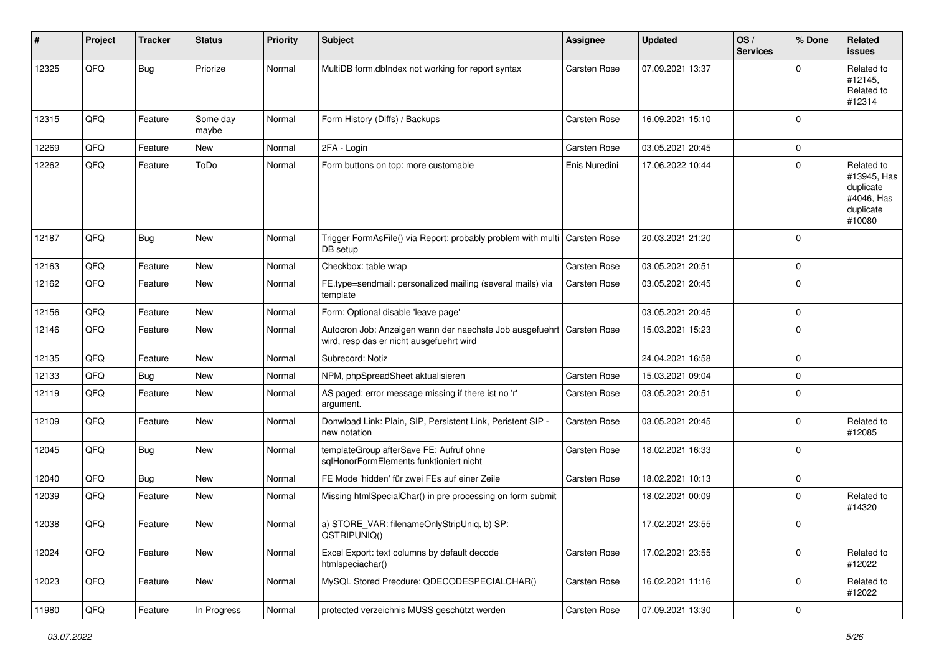| #     | Project | <b>Tracker</b> | <b>Status</b>     | <b>Priority</b> | Subject                                                                                              | <b>Assignee</b>     | <b>Updated</b>   | OS/<br><b>Services</b> | % Done      | Related<br>issues                                                           |
|-------|---------|----------------|-------------------|-----------------|------------------------------------------------------------------------------------------------------|---------------------|------------------|------------------------|-------------|-----------------------------------------------------------------------------|
| 12325 | QFQ     | <b>Bug</b>     | Priorize          | Normal          | MultiDB form.dbIndex not working for report syntax                                                   | Carsten Rose        | 07.09.2021 13:37 |                        | $\Omega$    | Related to<br>#12145,<br>Related to<br>#12314                               |
| 12315 | QFQ     | Feature        | Some day<br>maybe | Normal          | Form History (Diffs) / Backups                                                                       | Carsten Rose        | 16.09.2021 15:10 |                        | $\mathbf 0$ |                                                                             |
| 12269 | QFQ     | Feature        | <b>New</b>        | Normal          | 2FA - Login                                                                                          | Carsten Rose        | 03.05.2021 20:45 |                        | $\mathbf 0$ |                                                                             |
| 12262 | QFQ     | Feature        | ToDo              | Normal          | Form buttons on top: more customable                                                                 | Enis Nuredini       | 17.06.2022 10:44 |                        | $\Omega$    | Related to<br>#13945, Has<br>duplicate<br>#4046, Has<br>duplicate<br>#10080 |
| 12187 | QFQ     | Bug            | New               | Normal          | Trigger FormAsFile() via Report: probably problem with multi   Carsten Rose<br>DB setup              |                     | 20.03.2021 21:20 |                        | $\Omega$    |                                                                             |
| 12163 | QFQ     | Feature        | New               | Normal          | Checkbox: table wrap                                                                                 | Carsten Rose        | 03.05.2021 20:51 |                        | $\mathbf 0$ |                                                                             |
| 12162 | QFQ     | Feature        | New               | Normal          | FE.type=sendmail: personalized mailing (several mails) via<br>template                               | Carsten Rose        | 03.05.2021 20:45 |                        | $\mathbf 0$ |                                                                             |
| 12156 | QFQ     | Feature        | <b>New</b>        | Normal          | Form: Optional disable 'leave page'                                                                  |                     | 03.05.2021 20:45 |                        | $\mathbf 0$ |                                                                             |
| 12146 | QFQ     | Feature        | New               | Normal          | Autocron Job: Anzeigen wann der naechste Job ausgefuehrt<br>wird, resp das er nicht ausgefuehrt wird | <b>Carsten Rose</b> | 15.03.2021 15:23 |                        | $\mathbf 0$ |                                                                             |
| 12135 | QFQ     | Feature        | New               | Normal          | Subrecord: Notiz                                                                                     |                     | 24.04.2021 16:58 |                        | $\mathbf 0$ |                                                                             |
| 12133 | QFQ     | Bug            | <b>New</b>        | Normal          | NPM, phpSpreadSheet aktualisieren                                                                    | Carsten Rose        | 15.03.2021 09:04 |                        | $\mathbf 0$ |                                                                             |
| 12119 | QFQ     | Feature        | New               | Normal          | AS paged: error message missing if there ist no 'r'<br>argument.                                     | Carsten Rose        | 03.05.2021 20:51 |                        | $\Omega$    |                                                                             |
| 12109 | QFQ     | Feature        | New               | Normal          | Donwload Link: Plain, SIP, Persistent Link, Peristent SIP -<br>new notation                          | Carsten Rose        | 03.05.2021 20:45 |                        | $\mathbf 0$ | Related to<br>#12085                                                        |
| 12045 | QFQ     | <b>Bug</b>     | <b>New</b>        | Normal          | templateGroup afterSave FE: Aufruf ohne<br>sglHonorFormElements funktioniert nicht                   | Carsten Rose        | 18.02.2021 16:33 |                        | $\mathbf 0$ |                                                                             |
| 12040 | QFQ     | <b>Bug</b>     | New               | Normal          | FE Mode 'hidden' für zwei FEs auf einer Zeile                                                        | Carsten Rose        | 18.02.2021 10:13 |                        | $\mathbf 0$ |                                                                             |
| 12039 | QFQ     | Feature        | New               | Normal          | Missing htmlSpecialChar() in pre processing on form submit                                           |                     | 18.02.2021 00:09 |                        | $\mathbf 0$ | Related to<br>#14320                                                        |
| 12038 | QFQ     | Feature        | New               | Normal          | a) STORE VAR: filenameOnlyStripUniq, b) SP:<br>QSTRIPUNIQ()                                          |                     | 17.02.2021 23:55 |                        | $\Omega$    |                                                                             |
| 12024 | QFQ     | Feature        | New               | Normal          | Excel Export: text columns by default decode<br>htmlspeciachar()                                     | Carsten Rose        | 17.02.2021 23:55 |                        | $\mathbf 0$ | Related to<br>#12022                                                        |
| 12023 | QFQ     | Feature        | New               | Normal          | MySQL Stored Precdure: QDECODESPECIALCHAR()                                                          | Carsten Rose        | 16.02.2021 11:16 |                        | $\mathbf 0$ | Related to<br>#12022                                                        |
| 11980 | QFQ     | Feature        | In Progress       | Normal          | protected verzeichnis MUSS geschützt werden                                                          | Carsten Rose        | 07.09.2021 13:30 |                        | $\mathbf 0$ |                                                                             |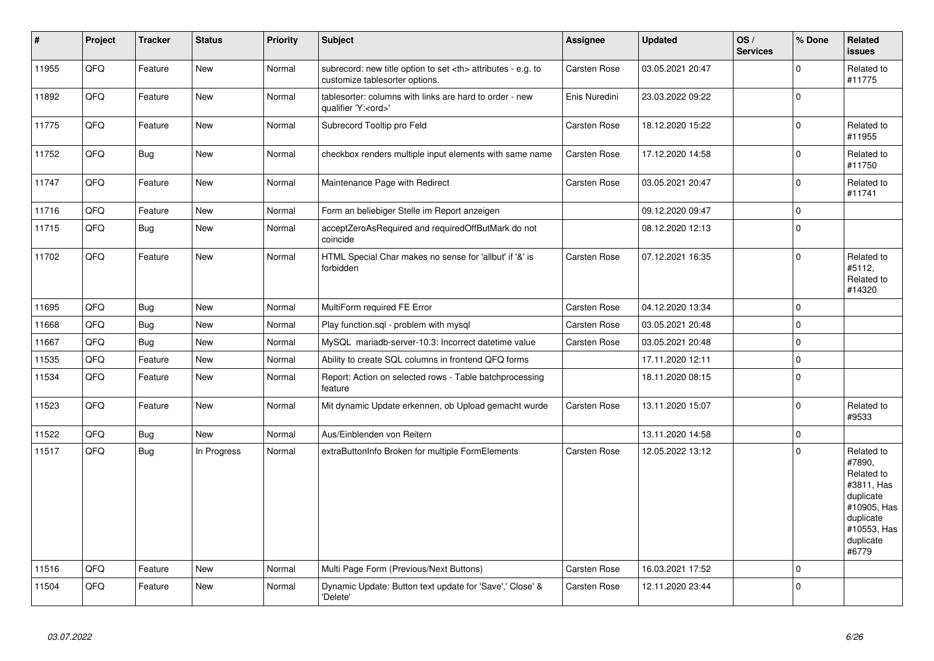| $\vert$ # | Project | <b>Tracker</b> | <b>Status</b> | Priority | <b>Subject</b>                                                                                       | Assignee                                               | Updated             | OS/<br><b>Services</b> | % Done      | Related<br>issues                                                                                                              |                      |
|-----------|---------|----------------|---------------|----------|------------------------------------------------------------------------------------------------------|--------------------------------------------------------|---------------------|------------------------|-------------|--------------------------------------------------------------------------------------------------------------------------------|----------------------|
| 11955     | QFQ     | Feature        | New           | Normal   | subrecord: new title option to set <th> attributes - e.g. to<br/>customize tablesorter options.</th> | attributes - e.g. to<br>customize tablesorter options. | <b>Carsten Rose</b> | 03.05.2021 20:47       |             | $\Omega$                                                                                                                       | Related to<br>#11775 |
| 11892     | QFQ     | Feature        | New           | Normal   | tablesorter: columns with links are hard to order - new<br>qualifier 'Y: <ord>'</ord>                | Enis Nuredini                                          | 23.03.2022 09:22    |                        | $\Omega$    |                                                                                                                                |                      |
| 11775     | QFQ     | Feature        | <b>New</b>    | Normal   | Subrecord Tooltip pro Feld                                                                           | Carsten Rose                                           | 18.12.2020 15:22    |                        | $\Omega$    | Related to<br>#11955                                                                                                           |                      |
| 11752     | QFQ     | Bug            | New           | Normal   | checkbox renders multiple input elements with same name                                              | Carsten Rose                                           | 17.12.2020 14:58    |                        | $\Omega$    | Related to<br>#11750                                                                                                           |                      |
| 11747     | QFQ     | Feature        | New           | Normal   | Maintenance Page with Redirect                                                                       | Carsten Rose                                           | 03.05.2021 20:47    |                        | $\mathbf 0$ | Related to<br>#11741                                                                                                           |                      |
| 11716     | QFQ     | Feature        | New           | Normal   | Form an beliebiger Stelle im Report anzeigen                                                         |                                                        | 09.12.2020 09:47    |                        | $\mathbf 0$ |                                                                                                                                |                      |
| 11715     | QFQ     | Bug            | New           | Normal   | acceptZeroAsRequired and requiredOffButMark do not<br>coincide                                       |                                                        | 08.12.2020 12:13    |                        | $\mathbf 0$ |                                                                                                                                |                      |
| 11702     | QFQ     | Feature        | New           | Normal   | HTML Special Char makes no sense for 'allbut' if '&' is<br>forbidden                                 | Carsten Rose                                           | 07.12.2021 16:35    |                        | $\mathbf 0$ | Related to<br>#5112.<br>Related to<br>#14320                                                                                   |                      |
| 11695     | QFQ     | <b>Bug</b>     | <b>New</b>    | Normal   | MultiForm required FE Error                                                                          | <b>Carsten Rose</b>                                    | 04.12.2020 13:34    |                        | $\Omega$    |                                                                                                                                |                      |
| 11668     | QFQ     | <b>Bug</b>     | New           | Normal   | Play function.sql - problem with mysql                                                               | Carsten Rose                                           | 03.05.2021 20:48    |                        | $\mathbf 0$ |                                                                                                                                |                      |
| 11667     | QFQ     | <b>Bug</b>     | <b>New</b>    | Normal   | MySQL mariadb-server-10.3: Incorrect datetime value                                                  | <b>Carsten Rose</b>                                    | 03.05.2021 20:48    |                        | $\Omega$    |                                                                                                                                |                      |
| 11535     | QFQ     | Feature        | New           | Normal   | Ability to create SQL columns in frontend QFQ forms                                                  |                                                        | 17.11.2020 12:11    |                        | $\mathbf 0$ |                                                                                                                                |                      |
| 11534     | QFQ     | Feature        | <b>New</b>    | Normal   | Report: Action on selected rows - Table batchprocessing<br>feature                                   |                                                        | 18.11.2020 08:15    |                        | $\Omega$    |                                                                                                                                |                      |
| 11523     | QFQ     | Feature        | New           | Normal   | Mit dynamic Update erkennen, ob Upload gemacht wurde                                                 | Carsten Rose                                           | 13.11.2020 15:07    |                        | $\Omega$    | Related to<br>#9533                                                                                                            |                      |
| 11522     | QFQ     | Bug            | New           | Normal   | Aus/Einblenden von Reitern                                                                           |                                                        | 13.11.2020 14:58    |                        | $\mathbf 0$ |                                                                                                                                |                      |
| 11517     | QFQ     | <b>Bug</b>     | In Progress   | Normal   | extraButtonInfo Broken for multiple FormElements                                                     | <b>Carsten Rose</b>                                    | 12.05.2022 13:12    |                        | $\Omega$    | Related to<br>#7890,<br>Related to<br>#3811, Has<br>duplicate<br>#10905, Has<br>duplicate<br>#10553, Has<br>duplicate<br>#6779 |                      |
| 11516     | QFQ     | Feature        | New           | Normal   | Multi Page Form (Previous/Next Buttons)                                                              | Carsten Rose                                           | 16.03.2021 17:52    |                        | $\Omega$    |                                                                                                                                |                      |
| 11504     | QFQ     | Feature        | New           | Normal   | Dynamic Update: Button text update for 'Save',' Close' &<br>'Delete'                                 | <b>Carsten Rose</b>                                    | 12.11.2020 23:44    |                        | $\Omega$    |                                                                                                                                |                      |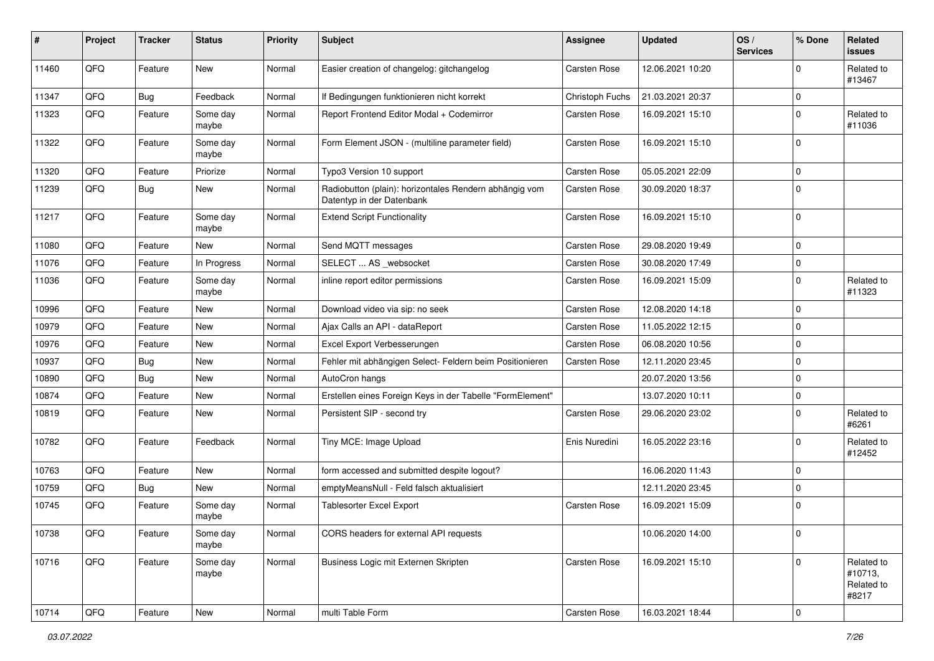| #     | Project | <b>Tracker</b> | <b>Status</b>     | <b>Priority</b> | Subject                                                                             | Assignee        | <b>Updated</b>   | OS/<br><b>Services</b> | % Done       | Related<br>issues                            |
|-------|---------|----------------|-------------------|-----------------|-------------------------------------------------------------------------------------|-----------------|------------------|------------------------|--------------|----------------------------------------------|
| 11460 | QFQ     | Feature        | New               | Normal          | Easier creation of changelog: gitchangelog                                          | Carsten Rose    | 12.06.2021 10:20 |                        | $\Omega$     | Related to<br>#13467                         |
| 11347 | QFQ     | <b>Bug</b>     | Feedback          | Normal          | If Bedingungen funktionieren nicht korrekt                                          | Christoph Fuchs | 21.03.2021 20:37 |                        | $\mathbf 0$  |                                              |
| 11323 | QFQ     | Feature        | Some day<br>maybe | Normal          | Report Frontend Editor Modal + Codemirror                                           | Carsten Rose    | 16.09.2021 15:10 |                        | $\Omega$     | Related to<br>#11036                         |
| 11322 | QFQ     | Feature        | Some day<br>maybe | Normal          | Form Element JSON - (multiline parameter field)                                     | Carsten Rose    | 16.09.2021 15:10 |                        | $\mathbf{0}$ |                                              |
| 11320 | QFQ     | Feature        | Priorize          | Normal          | Typo3 Version 10 support                                                            | Carsten Rose    | 05.05.2021 22:09 |                        | $\Omega$     |                                              |
| 11239 | QFQ     | Bug            | New               | Normal          | Radiobutton (plain): horizontales Rendern abhängig vom<br>Datentyp in der Datenbank | Carsten Rose    | 30.09.2020 18:37 |                        | $\mathbf 0$  |                                              |
| 11217 | QFQ     | Feature        | Some day<br>maybe | Normal          | <b>Extend Script Functionality</b>                                                  | Carsten Rose    | 16.09.2021 15:10 |                        | $\mathbf{0}$ |                                              |
| 11080 | QFQ     | Feature        | New               | Normal          | Send MQTT messages                                                                  | Carsten Rose    | 29.08.2020 19:49 |                        | $\mathbf 0$  |                                              |
| 11076 | QFQ     | Feature        | In Progress       | Normal          | SELECT  AS _websocket                                                               | Carsten Rose    | 30.08.2020 17:49 |                        | $\mathbf 0$  |                                              |
| 11036 | QFQ     | Feature        | Some day<br>maybe | Normal          | inline report editor permissions                                                    | Carsten Rose    | 16.09.2021 15:09 |                        | $\mathbf 0$  | Related to<br>#11323                         |
| 10996 | QFQ     | Feature        | <b>New</b>        | Normal          | Download video via sip: no seek                                                     | Carsten Rose    | 12.08.2020 14:18 |                        | $\mathbf 0$  |                                              |
| 10979 | QFQ     | Feature        | New               | Normal          | Ajax Calls an API - dataReport                                                      | Carsten Rose    | 11.05.2022 12:15 |                        | $\mathbf 0$  |                                              |
| 10976 | QFQ     | Feature        | <b>New</b>        | Normal          | Excel Export Verbesserungen                                                         | Carsten Rose    | 06.08.2020 10:56 |                        | $\mathbf 0$  |                                              |
| 10937 | QFQ     | Bug            | <b>New</b>        | Normal          | Fehler mit abhängigen Select- Feldern beim Positionieren                            | Carsten Rose    | 12.11.2020 23:45 |                        | $\mathbf 0$  |                                              |
| 10890 | QFQ     | <b>Bug</b>     | New               | Normal          | AutoCron hangs                                                                      |                 | 20.07.2020 13:56 |                        | $\mathbf 0$  |                                              |
| 10874 | QFQ     | Feature        | <b>New</b>        | Normal          | Erstellen eines Foreign Keys in der Tabelle "FormElement"                           |                 | 13.07.2020 10:11 |                        | $\mathbf 0$  |                                              |
| 10819 | QFQ     | Feature        | New               | Normal          | Persistent SIP - second try                                                         | Carsten Rose    | 29.06.2020 23:02 |                        | $\mathbf 0$  | Related to<br>#6261                          |
| 10782 | QFQ     | Feature        | Feedback          | Normal          | Tiny MCE: Image Upload                                                              | Enis Nuredini   | 16.05.2022 23:16 |                        | $\mathbf 0$  | Related to<br>#12452                         |
| 10763 | QFQ     | Feature        | New               | Normal          | form accessed and submitted despite logout?                                         |                 | 16.06.2020 11:43 |                        | $\mathbf 0$  |                                              |
| 10759 | QFQ     | <b>Bug</b>     | New               | Normal          | emptyMeansNull - Feld falsch aktualisiert                                           |                 | 12.11.2020 23:45 |                        | $\mathbf 0$  |                                              |
| 10745 | QFQ     | Feature        | Some day<br>maybe | Normal          | <b>Tablesorter Excel Export</b>                                                     | Carsten Rose    | 16.09.2021 15:09 |                        | $\Omega$     |                                              |
| 10738 | QFQ     | Feature        | Some day<br>maybe | Normal          | CORS headers for external API requests                                              |                 | 10.06.2020 14:00 |                        | l 0          |                                              |
| 10716 | QFQ     | Feature        | Some day<br>maybe | Normal          | Business Logic mit Externen Skripten                                                | Carsten Rose    | 16.09.2021 15:10 |                        | $\mathbf 0$  | Related to<br>#10713,<br>Related to<br>#8217 |
| 10714 | QFQ     | Feature        | New               | Normal          | multi Table Form                                                                    | Carsten Rose    | 16.03.2021 18:44 |                        | 0            |                                              |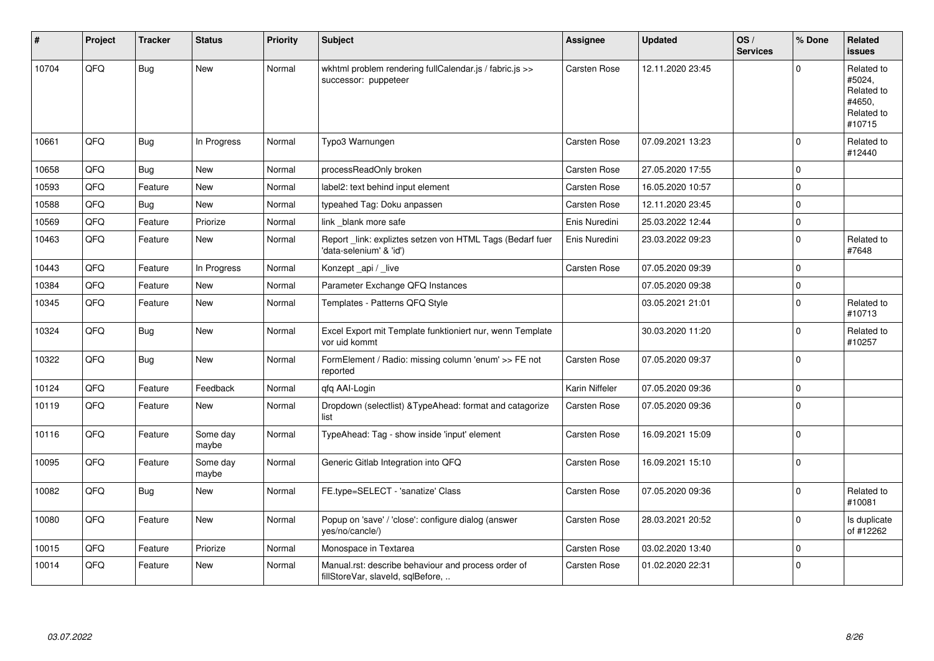| #     | Project | <b>Tracker</b> | <b>Status</b>     | <b>Priority</b> | <b>Subject</b>                                                                           | <b>Assignee</b>     | <b>Updated</b>   | OS/<br><b>Services</b> | % Done      | Related<br>issues                                                    |
|-------|---------|----------------|-------------------|-----------------|------------------------------------------------------------------------------------------|---------------------|------------------|------------------------|-------------|----------------------------------------------------------------------|
| 10704 | QFQ     | <b>Bug</b>     | <b>New</b>        | Normal          | wkhtml problem rendering fullCalendar.js / fabric.js >><br>successor: puppeteer          | Carsten Rose        | 12.11.2020 23:45 |                        | $\Omega$    | Related to<br>#5024,<br>Related to<br>#4650.<br>Related to<br>#10715 |
| 10661 | QFQ     | <b>Bug</b>     | In Progress       | Normal          | Typo3 Warnungen                                                                          | Carsten Rose        | 07.09.2021 13:23 |                        | $\Omega$    | Related to<br>#12440                                                 |
| 10658 | QFQ     | <b>Bug</b>     | <b>New</b>        | Normal          | processReadOnly broken                                                                   | Carsten Rose        | 27.05.2020 17:55 |                        | $\Omega$    |                                                                      |
| 10593 | QFQ     | Feature        | <b>New</b>        | Normal          | label2: text behind input element                                                        | <b>Carsten Rose</b> | 16.05.2020 10:57 |                        | $\mathbf 0$ |                                                                      |
| 10588 | QFQ     | Bug            | New               | Normal          | typeahed Tag: Doku anpassen                                                              | Carsten Rose        | 12.11.2020 23:45 |                        | $\mathbf 0$ |                                                                      |
| 10569 | QFQ     | Feature        | Priorize          | Normal          | link blank more safe                                                                     | Enis Nuredini       | 25.03.2022 12:44 |                        | $\Omega$    |                                                                      |
| 10463 | QFQ     | Feature        | New               | Normal          | Report link: expliztes setzen von HTML Tags (Bedarf fuer<br>'data-selenium' & 'id')      | Enis Nuredini       | 23.03.2022 09:23 |                        | $\Omega$    | Related to<br>#7648                                                  |
| 10443 | QFQ     | Feature        | In Progress       | Normal          | Konzept _api / _live                                                                     | <b>Carsten Rose</b> | 07.05.2020 09:39 |                        | $\mathbf 0$ |                                                                      |
| 10384 | QFQ     | Feature        | <b>New</b>        | Normal          | Parameter Exchange QFQ Instances                                                         |                     | 07.05.2020 09:38 |                        | $\mathbf 0$ |                                                                      |
| 10345 | QFQ     | Feature        | <b>New</b>        | Normal          | Templates - Patterns QFQ Style                                                           |                     | 03.05.2021 21:01 |                        | $\Omega$    | Related to<br>#10713                                                 |
| 10324 | QFQ     | <b>Bug</b>     | New               | Normal          | Excel Export mit Template funktioniert nur, wenn Template<br>vor uid kommt               |                     | 30.03.2020 11:20 |                        | $\Omega$    | Related to<br>#10257                                                 |
| 10322 | QFQ     | Bug            | New               | Normal          | FormElement / Radio: missing column 'enum' >> FE not<br>reported                         | <b>Carsten Rose</b> | 07.05.2020 09:37 |                        | $\mathbf 0$ |                                                                      |
| 10124 | QFQ     | Feature        | Feedback          | Normal          | gfg AAI-Login                                                                            | Karin Niffeler      | 07.05.2020 09:36 |                        | $\mathbf 0$ |                                                                      |
| 10119 | QFQ     | Feature        | New               | Normal          | Dropdown (selectlist) & TypeAhead: format and catagorize<br>list                         | <b>Carsten Rose</b> | 07.05.2020 09:36 |                        | $\Omega$    |                                                                      |
| 10116 | QFQ     | Feature        | Some day<br>maybe | Normal          | TypeAhead: Tag - show inside 'input' element                                             | Carsten Rose        | 16.09.2021 15:09 |                        | $\Omega$    |                                                                      |
| 10095 | QFQ     | Feature        | Some day<br>maybe | Normal          | Generic Gitlab Integration into QFQ                                                      | Carsten Rose        | 16.09.2021 15:10 |                        | $\Omega$    |                                                                      |
| 10082 | QFQ     | Bug            | New               | Normal          | FE.type=SELECT - 'sanatize' Class                                                        | Carsten Rose        | 07.05.2020 09:36 |                        | $\Omega$    | Related to<br>#10081                                                 |
| 10080 | QFQ     | Feature        | New               | Normal          | Popup on 'save' / 'close': configure dialog (answer<br>yes/no/cancle/)                   | <b>Carsten Rose</b> | 28.03.2021 20:52 |                        | $\mathbf 0$ | Is duplicate<br>of #12262                                            |
| 10015 | QFQ     | Feature        | Priorize          | Normal          | Monospace in Textarea                                                                    | Carsten Rose        | 03.02.2020 13:40 |                        | $\mathbf 0$ |                                                                      |
| 10014 | QFQ     | Feature        | <b>New</b>        | Normal          | Manual.rst: describe behaviour and process order of<br>fillStoreVar, slaveId, sqlBefore, | <b>Carsten Rose</b> | 01.02.2020 22:31 |                        | $\Omega$    |                                                                      |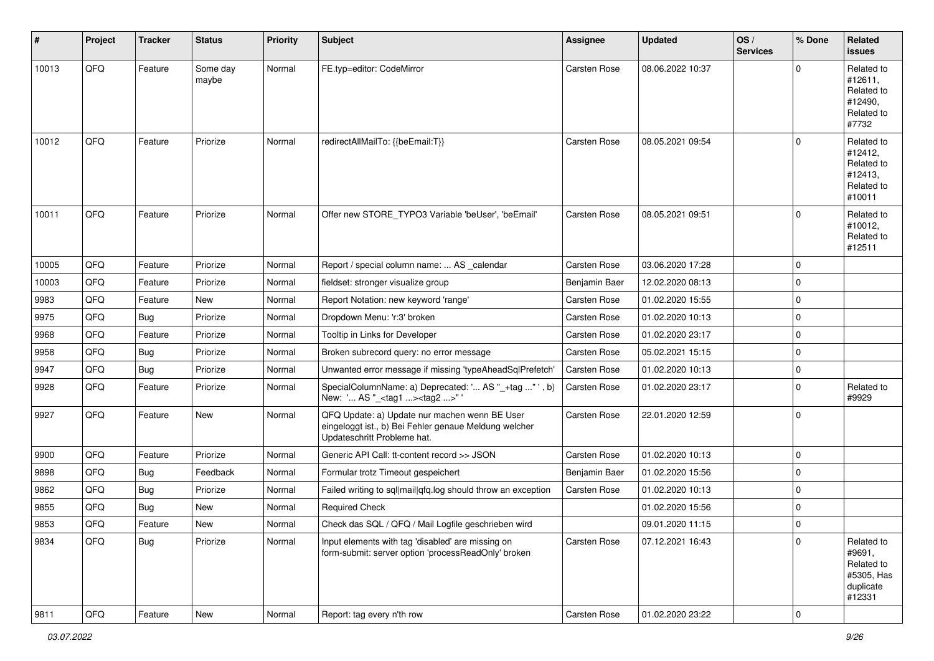| #     | Project | <b>Tracker</b> | <b>Status</b>     | <b>Priority</b> | Subject                                                                                                                               | Assignee      | <b>Updated</b>   | OS/<br><b>Services</b> | % Done      | Related<br>issues                                                       |
|-------|---------|----------------|-------------------|-----------------|---------------------------------------------------------------------------------------------------------------------------------------|---------------|------------------|------------------------|-------------|-------------------------------------------------------------------------|
| 10013 | QFQ     | Feature        | Some day<br>maybe | Normal          | FE.typ=editor: CodeMirror                                                                                                             | Carsten Rose  | 08.06.2022 10:37 |                        | $\Omega$    | Related to<br>#12611,<br>Related to<br>#12490,<br>Related to<br>#7732   |
| 10012 | QFQ     | Feature        | Priorize          | Normal          | redirectAllMailTo: {{beEmail:T}}                                                                                                      | Carsten Rose  | 08.05.2021 09:54 |                        | $\mathbf 0$ | Related to<br>#12412,<br>Related to<br>#12413,<br>Related to<br>#10011  |
| 10011 | QFQ     | Feature        | Priorize          | Normal          | Offer new STORE_TYPO3 Variable 'beUser', 'beEmail'                                                                                    | Carsten Rose  | 08.05.2021 09:51 |                        | $\Omega$    | Related to<br>#10012,<br>Related to<br>#12511                           |
| 10005 | QFQ     | Feature        | Priorize          | Normal          | Report / special column name:  AS _calendar                                                                                           | Carsten Rose  | 03.06.2020 17:28 |                        | $\mathbf 0$ |                                                                         |
| 10003 | QFQ     | Feature        | Priorize          | Normal          | fieldset: stronger visualize group                                                                                                    | Benjamin Baer | 12.02.2020 08:13 |                        | $\mathbf 0$ |                                                                         |
| 9983  | QFQ     | Feature        | New               | Normal          | Report Notation: new keyword 'range'                                                                                                  | Carsten Rose  | 01.02.2020 15:55 |                        | 0           |                                                                         |
| 9975  | QFQ     | <b>Bug</b>     | Priorize          | Normal          | Dropdown Menu: 'r:3' broken                                                                                                           | Carsten Rose  | 01.02.2020 10:13 |                        | $\mathbf 0$ |                                                                         |
| 9968  | QFQ     | Feature        | Priorize          | Normal          | Tooltip in Links for Developer                                                                                                        | Carsten Rose  | 01.02.2020 23:17 |                        | $\mathbf 0$ |                                                                         |
| 9958  | QFQ     | <b>Bug</b>     | Priorize          | Normal          | Broken subrecord query: no error message                                                                                              | Carsten Rose  | 05.02.2021 15:15 |                        | $\mathbf 0$ |                                                                         |
| 9947  | QFQ     | <b>Bug</b>     | Priorize          | Normal          | Unwanted error message if missing 'typeAheadSqlPrefetch'                                                                              | Carsten Rose  | 01.02.2020 10:13 |                        | 0           |                                                                         |
| 9928  | QFQ     | Feature        | Priorize          | Normal          | SpecialColumnName: a) Deprecated: ' AS "_+tag " ', b)<br>New: ' AS "_ <tag1><tag2>"'</tag2></tag1>                                    | Carsten Rose  | 01.02.2020 23:17 |                        | $\mathbf 0$ | Related to<br>#9929                                                     |
| 9927  | QFQ     | Feature        | New               | Normal          | QFQ Update: a) Update nur machen wenn BE User<br>eingeloggt ist., b) Bei Fehler genaue Meldung welcher<br>Updateschritt Probleme hat. | Carsten Rose  | 22.01.2020 12:59 |                        | $\mathbf 0$ |                                                                         |
| 9900  | QFQ     | Feature        | Priorize          | Normal          | Generic API Call: tt-content record >> JSON                                                                                           | Carsten Rose  | 01.02.2020 10:13 |                        | $\mathbf 0$ |                                                                         |
| 9898  | QFQ     | <b>Bug</b>     | Feedback          | Normal          | Formular trotz Timeout gespeichert                                                                                                    | Benjamin Baer | 01.02.2020 15:56 |                        | 0           |                                                                         |
| 9862  | QFQ     | Bug            | Priorize          | Normal          | Failed writing to sql mail qfq.log should throw an exception                                                                          | Carsten Rose  | 01.02.2020 10:13 |                        | $\mathbf 0$ |                                                                         |
| 9855  | QFQ     | <b>Bug</b>     | <b>New</b>        | Normal          | <b>Required Check</b>                                                                                                                 |               | 01.02.2020 15:56 |                        | $\mathbf 0$ |                                                                         |
| 9853  | QFQ     | Feature        | New               | Normal          | Check das SQL / QFQ / Mail Logfile geschrieben wird                                                                                   |               | 09.01.2020 11:15 |                        | $\mathbf 0$ |                                                                         |
| 9834  | QFQ     | <b>Bug</b>     | Priorize          | Normal          | Input elements with tag 'disabled' are missing on<br>form-submit: server option 'processReadOnly' broken                              | Carsten Rose  | 07.12.2021 16:43 |                        | $\mathbf 0$ | Related to<br>#9691,<br>Related to<br>#5305, Has<br>duplicate<br>#12331 |
| 9811  | QFQ     | Feature        | New               | Normal          | Report: tag every n'th row                                                                                                            | Carsten Rose  | 01.02.2020 23:22 |                        | $\mathbf 0$ |                                                                         |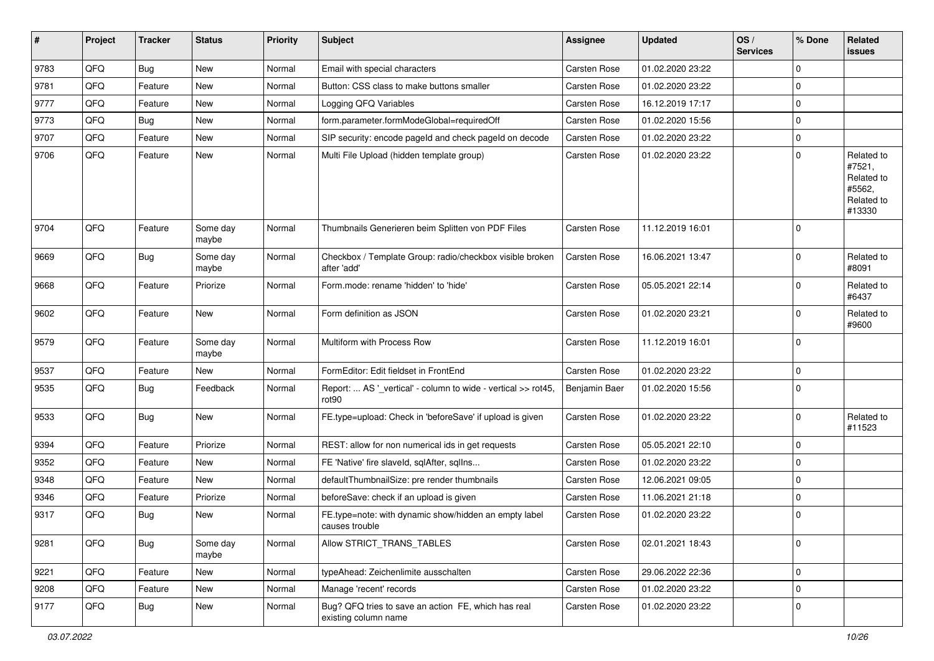| #    | Project | <b>Tracker</b> | <b>Status</b>     | <b>Priority</b> | Subject                                                                            | Assignee            | <b>Updated</b>   | OS/<br><b>Services</b> | % Done      | Related<br>issues                                                    |
|------|---------|----------------|-------------------|-----------------|------------------------------------------------------------------------------------|---------------------|------------------|------------------------|-------------|----------------------------------------------------------------------|
| 9783 | QFQ     | <b>Bug</b>     | New               | Normal          | Email with special characters                                                      | Carsten Rose        | 01.02.2020 23:22 |                        | $\mathbf 0$ |                                                                      |
| 9781 | QFQ     | Feature        | <b>New</b>        | Normal          | Button: CSS class to make buttons smaller                                          | Carsten Rose        | 01.02.2020 23:22 |                        | $\mathbf 0$ |                                                                      |
| 9777 | QFQ     | Feature        | New               | Normal          | Logging QFQ Variables                                                              | Carsten Rose        | 16.12.2019 17:17 |                        | $\mathbf 0$ |                                                                      |
| 9773 | QFQ     | <b>Bug</b>     | New               | Normal          | form.parameter.formModeGlobal=requiredOff                                          | Carsten Rose        | 01.02.2020 15:56 |                        | $\mathbf 0$ |                                                                      |
| 9707 | QFQ     | Feature        | New               | Normal          | SIP security: encode pageld and check pageld on decode                             | Carsten Rose        | 01.02.2020 23:22 |                        | 0           |                                                                      |
| 9706 | QFQ     | Feature        | <b>New</b>        | Normal          | Multi File Upload (hidden template group)                                          | Carsten Rose        | 01.02.2020 23:22 |                        | $\mathbf 0$ | Related to<br>#7521,<br>Related to<br>#5562,<br>Related to<br>#13330 |
| 9704 | QFQ     | Feature        | Some day<br>maybe | Normal          | Thumbnails Generieren beim Splitten von PDF Files                                  | Carsten Rose        | 11.12.2019 16:01 |                        | $\mathbf 0$ |                                                                      |
| 9669 | QFQ     | Bug            | Some day<br>maybe | Normal          | Checkbox / Template Group: radio/checkbox visible broken<br>after 'add'            | Carsten Rose        | 16.06.2021 13:47 |                        | $\Omega$    | Related to<br>#8091                                                  |
| 9668 | QFQ     | Feature        | Priorize          | Normal          | Form.mode: rename 'hidden' to 'hide'                                               | <b>Carsten Rose</b> | 05.05.2021 22:14 |                        | $\mathbf 0$ | Related to<br>#6437                                                  |
| 9602 | QFQ     | Feature        | <b>New</b>        | Normal          | Form definition as JSON                                                            | Carsten Rose        | 01.02.2020 23:21 |                        | $\mathbf 0$ | Related to<br>#9600                                                  |
| 9579 | QFQ     | Feature        | Some day<br>maybe | Normal          | Multiform with Process Row                                                         | Carsten Rose        | 11.12.2019 16:01 |                        | $\mathbf 0$ |                                                                      |
| 9537 | QFQ     | Feature        | New               | Normal          | FormEditor: Edit fieldset in FrontEnd                                              | Carsten Rose        | 01.02.2020 23:22 |                        | $\mathbf 0$ |                                                                      |
| 9535 | QFQ     | <b>Bug</b>     | Feedback          | Normal          | Report:  AS '_vertical' - column to wide - vertical >> rot45,<br>rot <sub>90</sub> | Benjamin Baer       | 01.02.2020 15:56 |                        | $\mathbf 0$ |                                                                      |
| 9533 | QFQ     | <b>Bug</b>     | <b>New</b>        | Normal          | FE.type=upload: Check in 'beforeSave' if upload is given                           | Carsten Rose        | 01.02.2020 23:22 |                        | 0           | Related to<br>#11523                                                 |
| 9394 | QFQ     | Feature        | Priorize          | Normal          | REST: allow for non numerical ids in get requests                                  | Carsten Rose        | 05.05.2021 22:10 |                        | $\mathbf 0$ |                                                                      |
| 9352 | QFQ     | Feature        | New               | Normal          | FE 'Native' fire slaveld, sqlAfter, sqlIns                                         | Carsten Rose        | 01.02.2020 23:22 |                        | $\mathbf 0$ |                                                                      |
| 9348 | QFQ     | Feature        | <b>New</b>        | Normal          | defaultThumbnailSize: pre render thumbnails                                        | Carsten Rose        | 12.06.2021 09:05 |                        | $\mathbf 0$ |                                                                      |
| 9346 | QFQ     | Feature        | Priorize          | Normal          | beforeSave: check if an upload is given                                            | <b>Carsten Rose</b> | 11.06.2021 21:18 |                        | $\mathbf 0$ |                                                                      |
| 9317 | QFQ     | Bug            | <b>New</b>        | Normal          | FE.type=note: with dynamic show/hidden an empty label<br>causes trouble            | Carsten Rose        | 01.02.2020 23:22 |                        | $\mathbf 0$ |                                                                      |
| 9281 | QFQ     | <b>Bug</b>     | Some day<br>maybe | Normal          | Allow STRICT TRANS TABLES                                                          | Carsten Rose        | 02.01.2021 18:43 |                        | $\mathbf 0$ |                                                                      |
| 9221 | QFQ     | Feature        | New               | Normal          | typeAhead: Zeichenlimite ausschalten                                               | Carsten Rose        | 29.06.2022 22:36 |                        | $\mathbf 0$ |                                                                      |
| 9208 | QFQ     | Feature        | New               | Normal          | Manage 'recent' records                                                            | Carsten Rose        | 01.02.2020 23:22 |                        | $\mathbf 0$ |                                                                      |
| 9177 | QFQ     | <b>Bug</b>     | New               | Normal          | Bug? QFQ tries to save an action FE, which has real<br>existing column name        | Carsten Rose        | 01.02.2020 23:22 |                        | $\mathbf 0$ |                                                                      |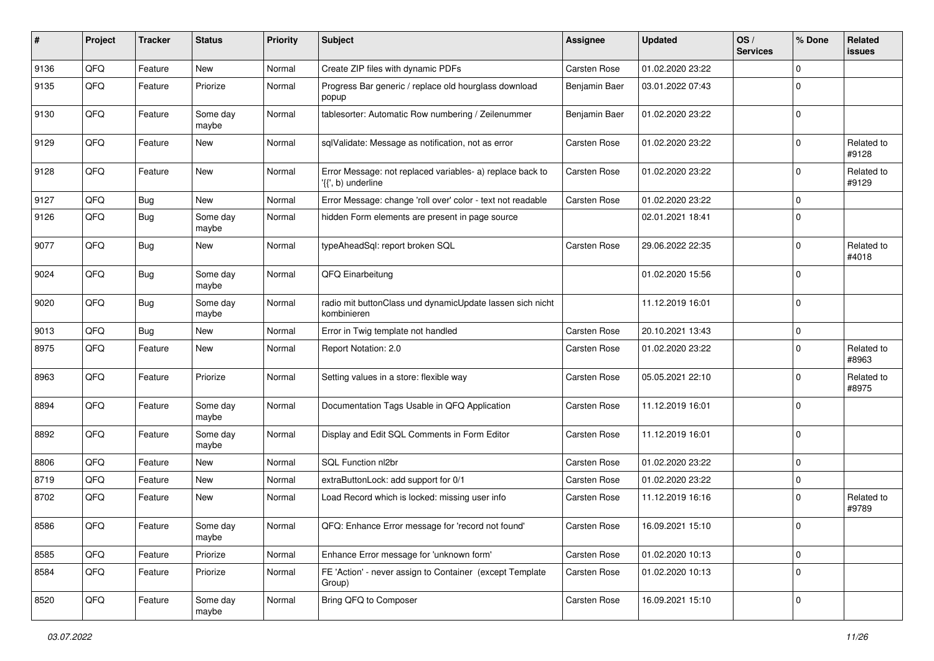| #    | Project | <b>Tracker</b> | <b>Status</b>     | <b>Priority</b> | Subject                                                                         | <b>Assignee</b>     | <b>Updated</b>   | OS/<br><b>Services</b> | % Done         | Related<br>issues   |
|------|---------|----------------|-------------------|-----------------|---------------------------------------------------------------------------------|---------------------|------------------|------------------------|----------------|---------------------|
| 9136 | QFQ     | Feature        | <b>New</b>        | Normal          | Create ZIP files with dynamic PDFs                                              | <b>Carsten Rose</b> | 01.02.2020 23:22 |                        | $\mathbf 0$    |                     |
| 9135 | QFQ     | Feature        | Priorize          | Normal          | Progress Bar generic / replace old hourglass download<br>popup                  | Benjamin Baer       | 03.01.2022 07:43 |                        | $\Omega$       |                     |
| 9130 | QFQ     | Feature        | Some day<br>maybe | Normal          | tablesorter: Automatic Row numbering / Zeilenummer                              | Benjamin Baer       | 01.02.2020 23:22 |                        | $\Omega$       |                     |
| 9129 | QFQ     | Feature        | <b>New</b>        | Normal          | sqlValidate: Message as notification, not as error                              | Carsten Rose        | 01.02.2020 23:22 |                        | $\Omega$       | Related to<br>#9128 |
| 9128 | QFQ     | Feature        | New               | Normal          | Error Message: not replaced variables- a) replace back to<br>'{{', b) underline | Carsten Rose        | 01.02.2020 23:22 |                        | $\Omega$       | Related to<br>#9129 |
| 9127 | QFQ     | Bug            | <b>New</b>        | Normal          | Error Message: change 'roll over' color - text not readable                     | Carsten Rose        | 01.02.2020 23:22 |                        | $\mathbf 0$    |                     |
| 9126 | QFQ     | <b>Bug</b>     | Some day<br>maybe | Normal          | hidden Form elements are present in page source                                 |                     | 02.01.2021 18:41 |                        | $\Omega$       |                     |
| 9077 | QFQ     | Bug            | <b>New</b>        | Normal          | typeAheadSql: report broken SQL                                                 | Carsten Rose        | 29.06.2022 22:35 |                        | 0              | Related to<br>#4018 |
| 9024 | QFQ     | <b>Bug</b>     | Some day<br>maybe | Normal          | QFQ Einarbeitung                                                                |                     | 01.02.2020 15:56 |                        | $\Omega$       |                     |
| 9020 | QFQ     | Bug            | Some day<br>maybe | Normal          | radio mit buttonClass und dynamicUpdate lassen sich nicht<br>kombinieren        |                     | 11.12.2019 16:01 |                        | $\Omega$       |                     |
| 9013 | QFQ     | <b>Bug</b>     | <b>New</b>        | Normal          | Error in Twig template not handled                                              | Carsten Rose        | 20.10.2021 13:43 |                        | $\mathbf 0$    |                     |
| 8975 | QFQ     | Feature        | <b>New</b>        | Normal          | Report Notation: 2.0                                                            | Carsten Rose        | 01.02.2020 23:22 |                        | $\Omega$       | Related to<br>#8963 |
| 8963 | QFQ     | Feature        | Priorize          | Normal          | Setting values in a store: flexible way                                         | Carsten Rose        | 05.05.2021 22:10 |                        | $\mathbf 0$    | Related to<br>#8975 |
| 8894 | QFQ     | Feature        | Some day<br>maybe | Normal          | Documentation Tags Usable in QFQ Application                                    | Carsten Rose        | 11.12.2019 16:01 |                        | $\Omega$       |                     |
| 8892 | QFQ     | Feature        | Some day<br>maybe | Normal          | Display and Edit SQL Comments in Form Editor                                    | Carsten Rose        | 11.12.2019 16:01 |                        | $\Omega$       |                     |
| 8806 | QFQ     | Feature        | <b>New</b>        | Normal          | SQL Function nl2br                                                              | Carsten Rose        | 01.02.2020 23:22 |                        | $\mathbf 0$    |                     |
| 8719 | QFQ     | Feature        | New               | Normal          | extraButtonLock: add support for 0/1                                            | Carsten Rose        | 01.02.2020 23:22 |                        | 0              |                     |
| 8702 | QFQ     | Feature        | New               | Normal          | Load Record which is locked: missing user info                                  | Carsten Rose        | 11.12.2019 16:16 |                        | $\mathbf 0$    | Related to<br>#9789 |
| 8586 | QFQ     | Feature        | Some day<br>maybe | Normal          | QFQ: Enhance Error message for 'record not found'                               | Carsten Rose        | 16.09.2021 15:10 |                        | $\overline{0}$ |                     |
| 8585 | QFQ     | Feature        | Priorize          | Normal          | Enhance Error message for 'unknown form'                                        | Carsten Rose        | 01.02.2020 10:13 |                        | 0              |                     |
| 8584 | QFQ     | Feature        | Priorize          | Normal          | FE 'Action' - never assign to Container (except Template<br>Group)              | Carsten Rose        | 01.02.2020 10:13 |                        | $\mathbf 0$    |                     |
| 8520 | QFG     | Feature        | Some day<br>maybe | Normal          | Bring QFQ to Composer                                                           | Carsten Rose        | 16.09.2021 15:10 |                        | 0              |                     |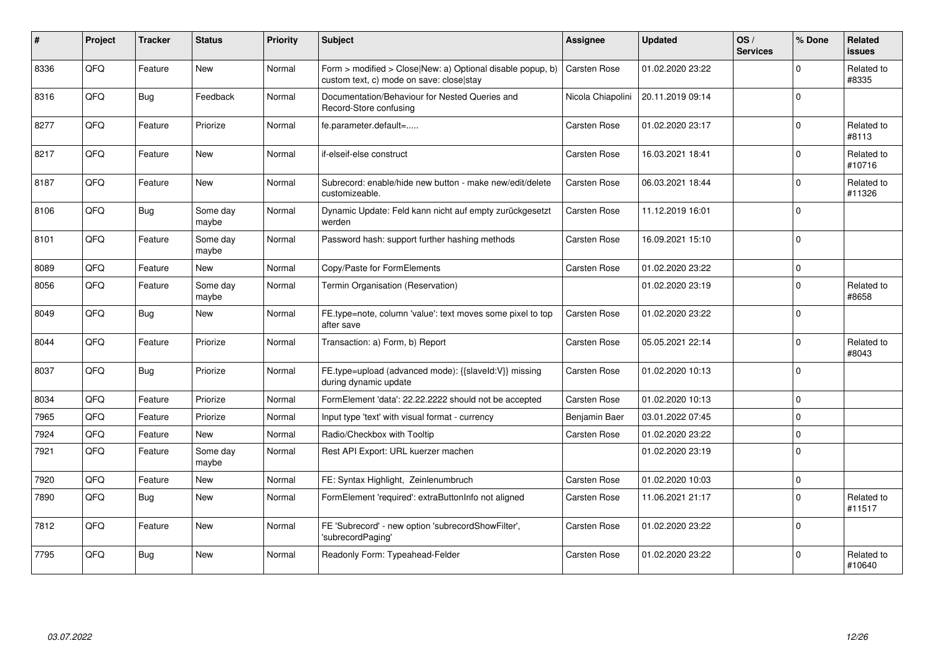| #    | Project | <b>Tracker</b> | <b>Status</b>     | Priority | <b>Subject</b>                                                                                         | Assignee            | <b>Updated</b>   | OS/<br><b>Services</b> | % Done       | Related<br><b>issues</b> |
|------|---------|----------------|-------------------|----------|--------------------------------------------------------------------------------------------------------|---------------------|------------------|------------------------|--------------|--------------------------|
| 8336 | QFQ     | Feature        | <b>New</b>        | Normal   | Form > modified > Close New: a) Optional disable popup, b)<br>custom text, c) mode on save: close stay | <b>Carsten Rose</b> | 01.02.2020 23:22 |                        | <sup>0</sup> | Related to<br>#8335      |
| 8316 | QFQ     | <b>Bug</b>     | Feedback          | Normal   | Documentation/Behaviour for Nested Queries and<br>Record-Store confusing                               | Nicola Chiapolini   | 20.11.2019 09:14 |                        | $\Omega$     |                          |
| 8277 | QFQ     | Feature        | Priorize          | Normal   | fe.parameter.default=                                                                                  | Carsten Rose        | 01.02.2020 23:17 |                        | $\Omega$     | Related to<br>#8113      |
| 8217 | QFQ     | Feature        | <b>New</b>        | Normal   | if-elseif-else construct                                                                               | Carsten Rose        | 16.03.2021 18:41 |                        | $\Omega$     | Related to<br>#10716     |
| 8187 | QFQ     | Feature        | <b>New</b>        | Normal   | Subrecord: enable/hide new button - make new/edit/delete<br>customizeable.                             | Carsten Rose        | 06.03.2021 18:44 |                        | $\Omega$     | Related to<br>#11326     |
| 8106 | QFQ     | <b>Bug</b>     | Some day<br>maybe | Normal   | Dynamic Update: Feld kann nicht auf empty zurückgesetzt<br>werden                                      | Carsten Rose        | 11.12.2019 16:01 |                        | $\Omega$     |                          |
| 8101 | QFQ     | Feature        | Some day<br>maybe | Normal   | Password hash: support further hashing methods                                                         | Carsten Rose        | 16.09.2021 15:10 |                        | $\Omega$     |                          |
| 8089 | QFQ     | Feature        | <b>New</b>        | Normal   | Copy/Paste for FormElements                                                                            | Carsten Rose        | 01.02.2020 23:22 |                        | 0            |                          |
| 8056 | QFQ     | Feature        | Some day<br>maybe | Normal   | Termin Organisation (Reservation)                                                                      |                     | 01.02.2020 23:19 |                        | $\Omega$     | Related to<br>#8658      |
| 8049 | QFQ     | <b>Bug</b>     | <b>New</b>        | Normal   | FE.type=note, column 'value': text moves some pixel to top<br>after save                               | Carsten Rose        | 01.02.2020 23:22 |                        | $\Omega$     |                          |
| 8044 | QFQ     | Feature        | Priorize          | Normal   | Transaction: a) Form, b) Report                                                                        | Carsten Rose        | 05.05.2021 22:14 |                        | $\Omega$     | Related to<br>#8043      |
| 8037 | QFQ     | <b>Bug</b>     | Priorize          | Normal   | FE.type=upload (advanced mode): {{slaveId:V}} missing<br>during dynamic update                         | Carsten Rose        | 01.02.2020 10:13 |                        | $\Omega$     |                          |
| 8034 | QFQ     | Feature        | Priorize          | Normal   | FormElement 'data': 22.22.2222 should not be accepted                                                  | Carsten Rose        | 01.02.2020 10:13 |                        | $\Omega$     |                          |
| 7965 | QFQ     | Feature        | Priorize          | Normal   | Input type 'text' with visual format - currency                                                        | Benjamin Baer       | 03.01.2022 07:45 |                        | $\Omega$     |                          |
| 7924 | QFQ     | Feature        | <b>New</b>        | Normal   | Radio/Checkbox with Tooltip                                                                            | Carsten Rose        | 01.02.2020 23:22 |                        | $\Omega$     |                          |
| 7921 | QFQ     | Feature        | Some day<br>maybe | Normal   | Rest API Export: URL kuerzer machen                                                                    |                     | 01.02.2020 23:19 |                        | $\mathbf 0$  |                          |
| 7920 | QFQ     | Feature        | <b>New</b>        | Normal   | FE: Syntax Highlight, Zeinlenumbruch                                                                   | <b>Carsten Rose</b> | 01.02.2020 10:03 |                        | $\Omega$     |                          |
| 7890 | QFQ     | <b>Bug</b>     | New               | Normal   | FormElement 'required': extraButtonInfo not aligned                                                    | Carsten Rose        | 11.06.2021 21:17 |                        | $\Omega$     | Related to<br>#11517     |
| 7812 | QFQ     | Feature        | <b>New</b>        | Normal   | FE 'Subrecord' - new option 'subrecordShowFilter',<br>'subrecordPaging'                                | Carsten Rose        | 01.02.2020 23:22 |                        | $\mathbf 0$  |                          |
| 7795 | QFQ     | <b>Bug</b>     | <b>New</b>        | Normal   | Readonly Form: Typeahead-Felder                                                                        | Carsten Rose        | 01.02.2020 23:22 |                        | $\Omega$     | Related to<br>#10640     |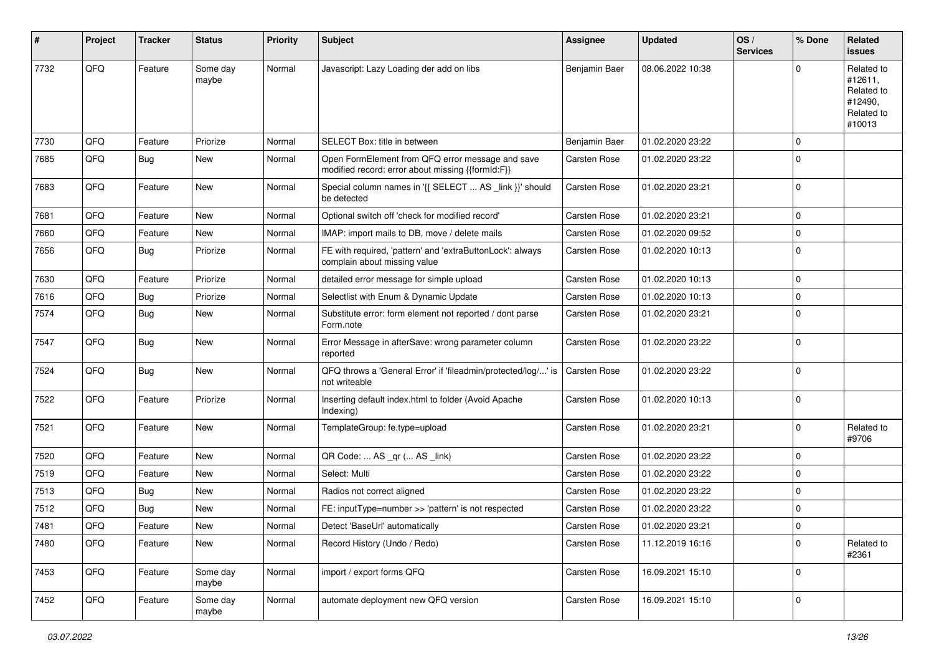| #    | Project | <b>Tracker</b> | <b>Status</b>     | <b>Priority</b> | Subject                                                                                               | Assignee      | <b>Updated</b>   | OS/<br><b>Services</b> | % Done       | Related<br>issues                                                      |
|------|---------|----------------|-------------------|-----------------|-------------------------------------------------------------------------------------------------------|---------------|------------------|------------------------|--------------|------------------------------------------------------------------------|
| 7732 | QFQ     | Feature        | Some day<br>maybe | Normal          | Javascript: Lazy Loading der add on libs                                                              | Benjamin Baer | 08.06.2022 10:38 |                        | <sup>0</sup> | Related to<br>#12611,<br>Related to<br>#12490,<br>Related to<br>#10013 |
| 7730 | QFQ     | Feature        | Priorize          | Normal          | SELECT Box: title in between                                                                          | Benjamin Baer | 01.02.2020 23:22 |                        | 0            |                                                                        |
| 7685 | QFQ     | <b>Bug</b>     | New               | Normal          | Open FormElement from QFQ error message and save<br>modified record: error about missing {{formId:F}} | Carsten Rose  | 01.02.2020 23:22 |                        | $\Omega$     |                                                                        |
| 7683 | QFQ     | Feature        | New               | Normal          | Special column names in '{{ SELECT  AS _link }}' should<br>be detected                                | Carsten Rose  | 01.02.2020 23:21 |                        | $\mathbf 0$  |                                                                        |
| 7681 | QFQ     | Feature        | <b>New</b>        | Normal          | Optional switch off 'check for modified record'                                                       | Carsten Rose  | 01.02.2020 23:21 |                        | 0            |                                                                        |
| 7660 | QFQ     | Feature        | New               | Normal          | IMAP: import mails to DB, move / delete mails                                                         | Carsten Rose  | 01.02.2020 09:52 |                        | 0            |                                                                        |
| 7656 | QFQ     | <b>Bug</b>     | Priorize          | Normal          | FE with required, 'pattern' and 'extraButtonLock': always<br>complain about missing value             | Carsten Rose  | 01.02.2020 10:13 |                        | $\Omega$     |                                                                        |
| 7630 | QFQ     | Feature        | Priorize          | Normal          | detailed error message for simple upload                                                              | Carsten Rose  | 01.02.2020 10:13 |                        | $\Omega$     |                                                                        |
| 7616 | QFQ     | <b>Bug</b>     | Priorize          | Normal          | Selectlist with Enum & Dynamic Update                                                                 | Carsten Rose  | 01.02.2020 10:13 |                        | 0            |                                                                        |
| 7574 | QFQ     | Bug            | New               | Normal          | Substitute error: form element not reported / dont parse<br>Form.note                                 | Carsten Rose  | 01.02.2020 23:21 |                        | $\Omega$     |                                                                        |
| 7547 | QFQ     | <b>Bug</b>     | <b>New</b>        | Normal          | Error Message in afterSave: wrong parameter column<br>reported                                        | Carsten Rose  | 01.02.2020 23:22 |                        | $\Omega$     |                                                                        |
| 7524 | QFQ     | <b>Bug</b>     | New               | Normal          | QFQ throws a 'General Error' if 'fileadmin/protected/log/' is<br>not writeable                        | Carsten Rose  | 01.02.2020 23:22 |                        | $\Omega$     |                                                                        |
| 7522 | QFQ     | Feature        | Priorize          | Normal          | Inserting default index.html to folder (Avoid Apache<br>Indexing)                                     | Carsten Rose  | 01.02.2020 10:13 |                        | $\mathbf 0$  |                                                                        |
| 7521 | QFQ     | Feature        | New               | Normal          | TemplateGroup: fe.type=upload                                                                         | Carsten Rose  | 01.02.2020 23:21 |                        | $\Omega$     | Related to<br>#9706                                                    |
| 7520 | QFQ     | Feature        | New               | Normal          | QR Code:  AS _qr ( AS _link)                                                                          | Carsten Rose  | 01.02.2020 23:22 |                        | 0            |                                                                        |
| 7519 | QFQ     | Feature        | New               | Normal          | Select: Multi                                                                                         | Carsten Rose  | 01.02.2020 23:22 |                        | 0            |                                                                        |
| 7513 | QFQ     | <b>Bug</b>     | New               | Normal          | Radios not correct aligned                                                                            | Carsten Rose  | 01.02.2020 23:22 |                        | $\Omega$     |                                                                        |
| 7512 | QFQ     | <b>Bug</b>     | <b>New</b>        | Normal          | FE: inputType=number >> 'pattern' is not respected                                                    | Carsten Rose  | 01.02.2020 23:22 |                        | 0            |                                                                        |
| 7481 | QFQ     | Feature        | New               | Normal          | Detect 'BaseUrl' automatically                                                                        | Carsten Rose  | 01.02.2020 23:21 |                        | $\Omega$     |                                                                        |
| 7480 | QFQ     | Feature        | New               | Normal          | Record History (Undo / Redo)                                                                          | Carsten Rose  | 11.12.2019 16:16 |                        | $\Omega$     | Related to<br>#2361                                                    |
| 7453 | QFQ     | Feature        | Some day<br>maybe | Normal          | import / export forms QFQ                                                                             | Carsten Rose  | 16.09.2021 15:10 |                        | $\mathbf 0$  |                                                                        |
| 7452 | QFG     | Feature        | Some day<br>maybe | Normal          | automate deployment new QFQ version                                                                   | Carsten Rose  | 16.09.2021 15:10 |                        | 0            |                                                                        |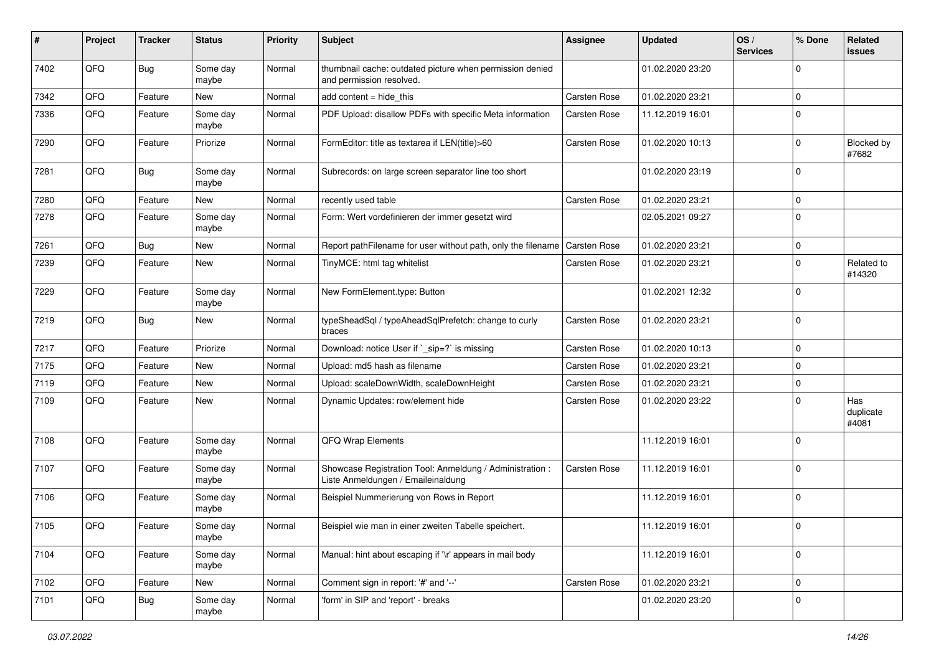| #    | Project | <b>Tracker</b> | <b>Status</b>     | <b>Priority</b> | Subject                                                                                        | Assignee     | <b>Updated</b>   | OS/<br><b>Services</b> | % Done         | Related<br>issues         |
|------|---------|----------------|-------------------|-----------------|------------------------------------------------------------------------------------------------|--------------|------------------|------------------------|----------------|---------------------------|
| 7402 | QFQ     | Bug            | Some day<br>maybe | Normal          | thumbnail cache: outdated picture when permission denied<br>and permission resolved.           |              | 01.02.2020 23:20 |                        | $\Omega$       |                           |
| 7342 | QFQ     | Feature        | New               | Normal          | add content = hide_this                                                                        | Carsten Rose | 01.02.2020 23:21 |                        | $\mathbf 0$    |                           |
| 7336 | QFQ     | Feature        | Some day<br>maybe | Normal          | PDF Upload: disallow PDFs with specific Meta information                                       | Carsten Rose | 11.12.2019 16:01 |                        | $\Omega$       |                           |
| 7290 | QFQ     | Feature        | Priorize          | Normal          | FormEditor: title as textarea if LEN(title)>60                                                 | Carsten Rose | 01.02.2020 10:13 |                        | $\Omega$       | Blocked by<br>#7682       |
| 7281 | QFQ     | <b>Bug</b>     | Some day<br>maybe | Normal          | Subrecords: on large screen separator line too short                                           |              | 01.02.2020 23:19 |                        | $\Omega$       |                           |
| 7280 | QFQ     | Feature        | New               | Normal          | recently used table                                                                            | Carsten Rose | 01.02.2020 23:21 |                        | $\Omega$       |                           |
| 7278 | QFQ     | Feature        | Some day<br>maybe | Normal          | Form: Wert vordefinieren der immer gesetzt wird                                                |              | 02.05.2021 09:27 |                        | 0              |                           |
| 7261 | QFQ     | Bug            | New               | Normal          | Report pathFilename for user without path, only the filename                                   | Carsten Rose | 01.02.2020 23:21 |                        | 0              |                           |
| 7239 | QFQ     | Feature        | New               | Normal          | TinyMCE: html tag whitelist                                                                    | Carsten Rose | 01.02.2020 23:21 |                        | $\Omega$       | Related to<br>#14320      |
| 7229 | QFQ     | Feature        | Some day<br>maybe | Normal          | New FormElement.type: Button                                                                   |              | 01.02.2021 12:32 |                        | $\Omega$       |                           |
| 7219 | QFQ     | Bug            | New               | Normal          | typeSheadSql / typeAheadSqlPrefetch: change to curly<br>braces                                 | Carsten Rose | 01.02.2020 23:21 |                        | $\mathbf 0$    |                           |
| 7217 | QFQ     | Feature        | Priorize          | Normal          | Download: notice User if `_sip=?` is missing                                                   | Carsten Rose | 01.02.2020 10:13 |                        | 0              |                           |
| 7175 | QFQ     | Feature        | New               | Normal          | Upload: md5 hash as filename                                                                   | Carsten Rose | 01.02.2020 23:21 |                        | 0              |                           |
| 7119 | QFQ     | Feature        | New               | Normal          | Upload: scaleDownWidth, scaleDownHeight                                                        | Carsten Rose | 01.02.2020 23:21 |                        | $\Omega$       |                           |
| 7109 | QFQ     | Feature        | New               | Normal          | Dynamic Updates: row/element hide                                                              | Carsten Rose | 01.02.2020 23:22 |                        | $\Omega$       | Has<br>duplicate<br>#4081 |
| 7108 | QFQ     | Feature        | Some day<br>maybe | Normal          | QFQ Wrap Elements                                                                              |              | 11.12.2019 16:01 |                        | $\mathbf 0$    |                           |
| 7107 | QFQ     | Feature        | Some day<br>maybe | Normal          | Showcase Registration Tool: Anmeldung / Administration :<br>Liste Anmeldungen / Emaileinaldung | Carsten Rose | 11.12.2019 16:01 |                        | $\mathbf 0$    |                           |
| 7106 | QFQ     | Feature        | Some day<br>maybe | Normal          | Beispiel Nummerierung von Rows in Report                                                       |              | 11.12.2019 16:01 |                        | 0              |                           |
| 7105 | QFQ     | Feature        | Some day<br>maybe | Normal          | Beispiel wie man in einer zweiten Tabelle speichert.                                           |              | 11.12.2019 16:01 |                        | $\overline{0}$ |                           |
| 7104 | QFQ     | Feature        | Some day<br>maybe | Normal          | Manual: hint about escaping if '\r' appears in mail body                                       |              | 11.12.2019 16:01 |                        | $\mathbf 0$    |                           |
| 7102 | QFQ     | Feature        | New               | Normal          | Comment sign in report: '#' and '--'                                                           | Carsten Rose | 01.02.2020 23:21 |                        | 0              |                           |
| 7101 | QFQ     | Bug            | Some day<br>maybe | Normal          | 'form' in SIP and 'report' - breaks                                                            |              | 01.02.2020 23:20 |                        | 0              |                           |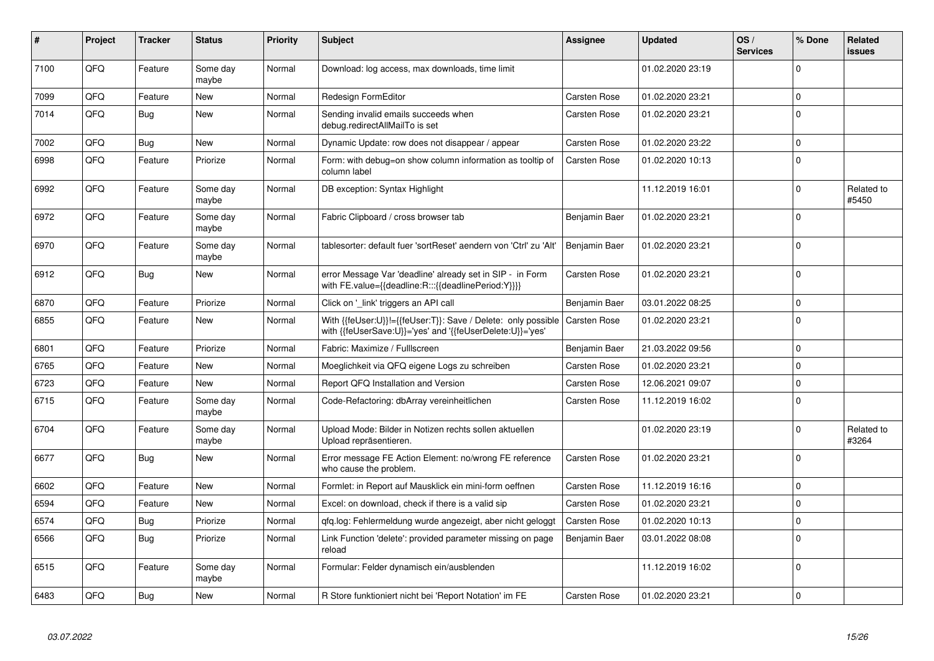| #    | Project | <b>Tracker</b> | <b>Status</b>     | <b>Priority</b> | <b>Subject</b>                                                                                                             | Assignee            | <b>Updated</b>   | OS/<br><b>Services</b> | % Done   | Related<br><b>issues</b> |
|------|---------|----------------|-------------------|-----------------|----------------------------------------------------------------------------------------------------------------------------|---------------------|------------------|------------------------|----------|--------------------------|
| 7100 | QFQ     | Feature        | Some day<br>maybe | Normal          | Download: log access, max downloads, time limit                                                                            |                     | 01.02.2020 23:19 |                        | $\Omega$ |                          |
| 7099 | QFQ     | Feature        | <b>New</b>        | Normal          | Redesign FormEditor                                                                                                        | Carsten Rose        | 01.02.2020 23:21 |                        | $\Omega$ |                          |
| 7014 | QFQ     | <b>Bug</b>     | <b>New</b>        | Normal          | Sending invalid emails succeeds when<br>debug.redirectAllMailTo is set                                                     | <b>Carsten Rose</b> | 01.02.2020 23:21 |                        | $\Omega$ |                          |
| 7002 | QFQ     | <b>Bug</b>     | <b>New</b>        | Normal          | Dynamic Update: row does not disappear / appear                                                                            | <b>Carsten Rose</b> | 01.02.2020 23:22 |                        | $\Omega$ |                          |
| 6998 | QFQ     | Feature        | Priorize          | Normal          | Form: with debug=on show column information as tooltip of<br>column label                                                  | <b>Carsten Rose</b> | 01.02.2020 10:13 |                        | $\Omega$ |                          |
| 6992 | QFQ     | Feature        | Some day<br>maybe | Normal          | DB exception: Syntax Highlight                                                                                             |                     | 11.12.2019 16:01 |                        | $\Omega$ | Related to<br>#5450      |
| 6972 | QFQ     | Feature        | Some day<br>maybe | Normal          | Fabric Clipboard / cross browser tab                                                                                       | Benjamin Baer       | 01.02.2020 23:21 |                        | 0        |                          |
| 6970 | QFQ     | Feature        | Some day<br>maybe | Normal          | tablesorter: default fuer 'sortReset' aendern von 'Ctrl' zu 'Alt'                                                          | Benjamin Baer       | 01.02.2020 23:21 |                        | $\Omega$ |                          |
| 6912 | QFQ     | <b>Bug</b>     | New               | Normal          | error Message Var 'deadline' already set in SIP - in Form<br>with FE.value={{deadline:R:::{{deadlinePeriod:Y}}}}           | Carsten Rose        | 01.02.2020 23:21 |                        | $\Omega$ |                          |
| 6870 | QFQ     | Feature        | Priorize          | Normal          | Click on '_link' triggers an API call                                                                                      | Benjamin Baer       | 03.01.2022 08:25 |                        | $\Omega$ |                          |
| 6855 | QFQ     | Feature        | New               | Normal          | With {{feUser:U}}!={{feUser:T}}: Save / Delete: only possible<br>with {{feUserSave:U}}='yes' and '{{feUserDelete:U}}='yes' | <b>Carsten Rose</b> | 01.02.2020 23:21 |                        | $\Omega$ |                          |
| 6801 | QFQ     | Feature        | Priorize          | Normal          | Fabric: Maximize / Fulllscreen                                                                                             | Benjamin Baer       | 21.03.2022 09:56 |                        | $\Omega$ |                          |
| 6765 | QFQ     | Feature        | <b>New</b>        | Normal          | Moeglichkeit via QFQ eigene Logs zu schreiben                                                                              | <b>Carsten Rose</b> | 01.02.2020 23:21 |                        | $\Omega$ |                          |
| 6723 | QFQ     | Feature        | New               | Normal          | Report QFQ Installation and Version                                                                                        | <b>Carsten Rose</b> | 12.06.2021 09:07 |                        | $\Omega$ |                          |
| 6715 | QFQ     | Feature        | Some day<br>maybe | Normal          | Code-Refactoring: dbArray vereinheitlichen                                                                                 | Carsten Rose        | 11.12.2019 16:02 |                        | $\Omega$ |                          |
| 6704 | QFQ     | Feature        | Some day<br>maybe | Normal          | Upload Mode: Bilder in Notizen rechts sollen aktuellen<br>Upload repräsentieren.                                           |                     | 01.02.2020 23:19 |                        | $\Omega$ | Related to<br>#3264      |
| 6677 | QFQ     | <b>Bug</b>     | <b>New</b>        | Normal          | Error message FE Action Element: no/wrong FE reference<br>who cause the problem.                                           | Carsten Rose        | 01.02.2020 23:21 |                        | $\Omega$ |                          |
| 6602 | QFQ     | Feature        | <b>New</b>        | Normal          | Formlet: in Report auf Mausklick ein mini-form oeffnen                                                                     | Carsten Rose        | 11.12.2019 16:16 |                        | $\Omega$ |                          |
| 6594 | QFQ     | Feature        | New               | Normal          | Excel: on download, check if there is a valid sip                                                                          | Carsten Rose        | 01.02.2020 23:21 |                        | $\Omega$ |                          |
| 6574 | QFQ     | <b>Bug</b>     | Priorize          | Normal          | qfq.log: Fehlermeldung wurde angezeigt, aber nicht geloggt                                                                 | Carsten Rose        | 01.02.2020 10:13 |                        | $\Omega$ |                          |
| 6566 | QFQ     | <b>Bug</b>     | Priorize          | Normal          | Link Function 'delete': provided parameter missing on page<br>reload                                                       | Benjamin Baer       | 03.01.2022 08:08 |                        | 0        |                          |
| 6515 | QFQ     | Feature        | Some day<br>maybe | Normal          | Formular: Felder dynamisch ein/ausblenden                                                                                  |                     | 11.12.2019 16:02 |                        | 0        |                          |
| 6483 | QFQ     | Bug            | New               | Normal          | R Store funktioniert nicht bei 'Report Notation' im FE                                                                     | Carsten Rose        | 01.02.2020 23:21 |                        | 0        |                          |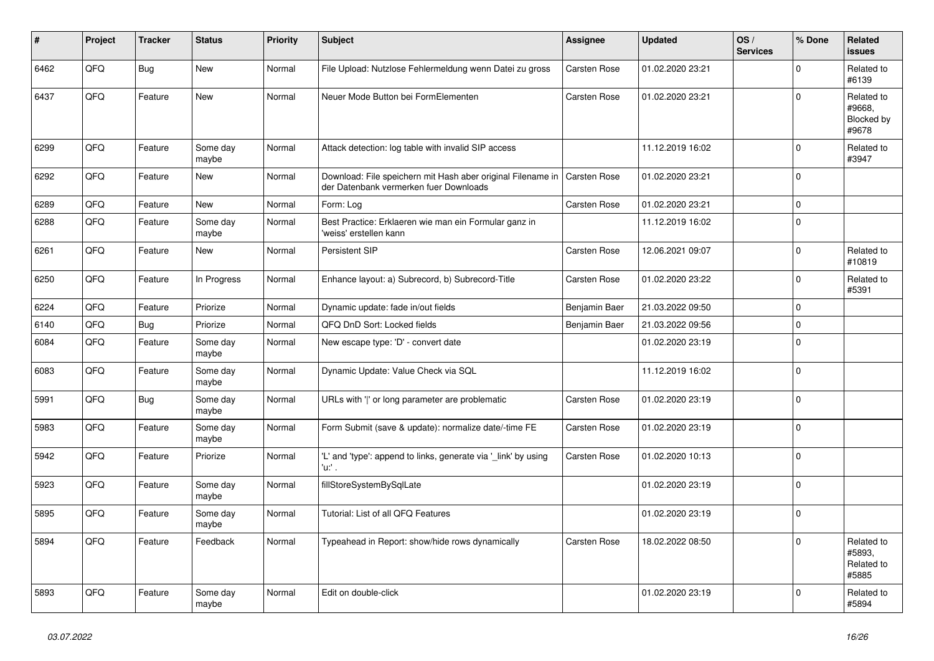| #    | Project | <b>Tracker</b> | <b>Status</b>     | <b>Priority</b> | <b>Subject</b>                                                                                        | Assignee            | <b>Updated</b>   | OS/<br><b>Services</b> | % Done      | <b>Related</b><br><b>issues</b>             |
|------|---------|----------------|-------------------|-----------------|-------------------------------------------------------------------------------------------------------|---------------------|------------------|------------------------|-------------|---------------------------------------------|
| 6462 | QFQ     | <b>Bug</b>     | New               | Normal          | File Upload: Nutzlose Fehlermeldung wenn Datei zu gross                                               | Carsten Rose        | 01.02.2020 23:21 |                        | $\mathbf 0$ | Related to<br>#6139                         |
| 6437 | QFQ     | Feature        | <b>New</b>        | Normal          | Neuer Mode Button bei FormElementen                                                                   | Carsten Rose        | 01.02.2020 23:21 |                        | $\mathbf 0$ | Related to<br>#9668.<br>Blocked by<br>#9678 |
| 6299 | QFQ     | Feature        | Some day<br>maybe | Normal          | Attack detection: log table with invalid SIP access                                                   |                     | 11.12.2019 16:02 |                        | $\mathbf 0$ | Related to<br>#3947                         |
| 6292 | QFQ     | Feature        | New               | Normal          | Download: File speichern mit Hash aber original Filename in<br>der Datenbank vermerken fuer Downloads | <b>Carsten Rose</b> | 01.02.2020 23:21 |                        | $\Omega$    |                                             |
| 6289 | QFQ     | Feature        | <b>New</b>        | Normal          | Form: Log                                                                                             | Carsten Rose        | 01.02.2020 23:21 |                        | $\mathbf 0$ |                                             |
| 6288 | QFQ     | Feature        | Some day<br>maybe | Normal          | Best Practice: Erklaeren wie man ein Formular ganz in<br>'weiss' erstellen kann                       |                     | 11.12.2019 16:02 |                        | $\mathbf 0$ |                                             |
| 6261 | QFQ     | Feature        | New               | Normal          | Persistent SIP                                                                                        | Carsten Rose        | 12.06.2021 09:07 |                        | $\pmb{0}$   | Related to<br>#10819                        |
| 6250 | QFQ     | Feature        | In Progress       | Normal          | Enhance layout: a) Subrecord, b) Subrecord-Title                                                      | Carsten Rose        | 01.02.2020 23:22 |                        | $\mathbf 0$ | Related to<br>#5391                         |
| 6224 | QFQ     | Feature        | Priorize          | Normal          | Dynamic update: fade in/out fields                                                                    | Benjamin Baer       | 21.03.2022 09:50 |                        | $\mathbf 0$ |                                             |
| 6140 | QFQ     | <b>Bug</b>     | Priorize          | Normal          | QFQ DnD Sort: Locked fields                                                                           | Benjamin Baer       | 21.03.2022 09:56 |                        | $\pmb{0}$   |                                             |
| 6084 | QFQ     | Feature        | Some day<br>maybe | Normal          | New escape type: 'D' - convert date                                                                   |                     | 01.02.2020 23:19 |                        | $\mathbf 0$ |                                             |
| 6083 | QFQ     | Feature        | Some day<br>maybe | Normal          | Dynamic Update: Value Check via SQL                                                                   |                     | 11.12.2019 16:02 |                        | $\pmb{0}$   |                                             |
| 5991 | QFQ     | <b>Bug</b>     | Some day<br>maybe | Normal          | URLs with ' ' or long parameter are problematic                                                       | Carsten Rose        | 01.02.2020 23:19 |                        | $\pmb{0}$   |                                             |
| 5983 | QFQ     | Feature        | Some day<br>maybe | Normal          | Form Submit (save & update): normalize date/-time FE                                                  | Carsten Rose        | 01.02.2020 23:19 |                        | $\mathbf 0$ |                                             |
| 5942 | QFQ     | Feature        | Priorize          | Normal          | 'L' and 'type': append to links, generate via '_link' by using<br>'u:' .                              | Carsten Rose        | 01.02.2020 10:13 |                        | $\mathbf 0$ |                                             |
| 5923 | QFQ     | Feature        | Some day<br>maybe | Normal          | fillStoreSystemBySqlLate                                                                              |                     | 01.02.2020 23:19 |                        | $\mathbf 0$ |                                             |
| 5895 | QFQ     | Feature        | Some day<br>maybe | Normal          | Tutorial: List of all QFQ Features                                                                    |                     | 01.02.2020 23:19 |                        | $\pmb{0}$   |                                             |
| 5894 | QFQ     | Feature        | Feedback          | Normal          | Typeahead in Report: show/hide rows dynamically                                                       | Carsten Rose        | 18.02.2022 08:50 |                        | $\Omega$    | Related to<br>#5893.<br>Related to<br>#5885 |
| 5893 | QFQ     | Feature        | Some day<br>maybe | Normal          | Edit on double-click                                                                                  |                     | 01.02.2020 23:19 |                        | $\Omega$    | Related to<br>#5894                         |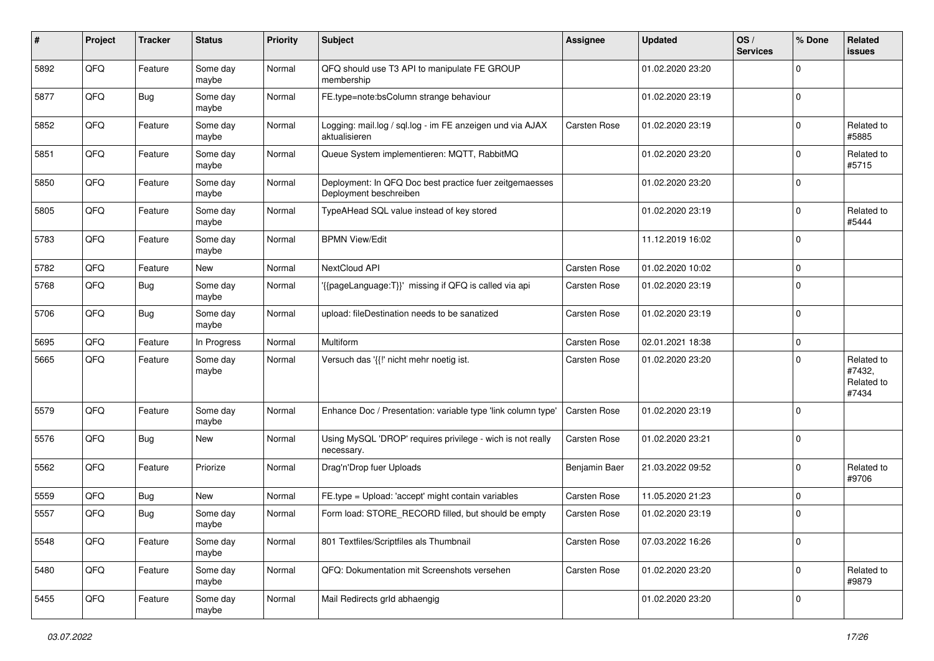| #    | Project | <b>Tracker</b> | <b>Status</b>     | <b>Priority</b> | <b>Subject</b>                                                                    | <b>Assignee</b> | <b>Updated</b>   | OS/<br><b>Services</b> | % Done         | Related<br>issues                           |
|------|---------|----------------|-------------------|-----------------|-----------------------------------------------------------------------------------|-----------------|------------------|------------------------|----------------|---------------------------------------------|
| 5892 | QFQ     | Feature        | Some day<br>maybe | Normal          | QFQ should use T3 API to manipulate FE GROUP<br>membership                        |                 | 01.02.2020 23:20 |                        | $\mathbf 0$    |                                             |
| 5877 | QFQ     | <b>Bug</b>     | Some day<br>maybe | Normal          | FE.type=note:bsColumn strange behaviour                                           |                 | 01.02.2020 23:19 |                        | 0              |                                             |
| 5852 | QFQ     | Feature        | Some day<br>maybe | Normal          | Logging: mail.log / sql.log - im FE anzeigen und via AJAX<br>aktualisieren        | Carsten Rose    | 01.02.2020 23:19 |                        | $\Omega$       | Related to<br>#5885                         |
| 5851 | QFQ     | Feature        | Some day<br>maybe | Normal          | Queue System implementieren: MQTT, RabbitMQ                                       |                 | 01.02.2020 23:20 |                        | $\mathbf 0$    | Related to<br>#5715                         |
| 5850 | QFQ     | Feature        | Some day<br>maybe | Normal          | Deployment: In QFQ Doc best practice fuer zeitgemaesses<br>Deployment beschreiben |                 | 01.02.2020 23:20 |                        | $\mathbf 0$    |                                             |
| 5805 | QFQ     | Feature        | Some day<br>maybe | Normal          | TypeAHead SQL value instead of key stored                                         |                 | 01.02.2020 23:19 |                        | $\mathbf 0$    | Related to<br>#5444                         |
| 5783 | QFQ     | Feature        | Some day<br>maybe | Normal          | <b>BPMN View/Edit</b>                                                             |                 | 11.12.2019 16:02 |                        | $\Omega$       |                                             |
| 5782 | QFQ     | Feature        | <b>New</b>        | Normal          | NextCloud API                                                                     | Carsten Rose    | 01.02.2020 10:02 |                        | $\mathbf 0$    |                                             |
| 5768 | QFQ     | <b>Bug</b>     | Some day<br>maybe | Normal          | {{pageLanguage:T}}' missing if QFQ is called via api                              | Carsten Rose    | 01.02.2020 23:19 |                        | $\Omega$       |                                             |
| 5706 | QFQ     | <b>Bug</b>     | Some day<br>maybe | Normal          | upload: fileDestination needs to be sanatized                                     | Carsten Rose    | 01.02.2020 23:19 |                        | $\mathbf 0$    |                                             |
| 5695 | QFQ     | Feature        | In Progress       | Normal          | Multiform                                                                         | Carsten Rose    | 02.01.2021 18:38 |                        | $\mathbf 0$    |                                             |
| 5665 | QFQ     | Feature        | Some day<br>maybe | Normal          | Versuch das '{{!' nicht mehr noetig ist.                                          | Carsten Rose    | 01.02.2020 23:20 |                        | $\Omega$       | Related to<br>#7432,<br>Related to<br>#7434 |
| 5579 | QFQ     | Feature        | Some day<br>maybe | Normal          | Enhance Doc / Presentation: variable type 'link column type'                      | Carsten Rose    | 01.02.2020 23:19 |                        | $\mathbf 0$    |                                             |
| 5576 | QFQ     | <b>Bug</b>     | <b>New</b>        | Normal          | Using MySQL 'DROP' requires privilege - wich is not really<br>necessary.          | Carsten Rose    | 01.02.2020 23:21 |                        | $\Omega$       |                                             |
| 5562 | QFQ     | Feature        | Priorize          | Normal          | Drag'n'Drop fuer Uploads                                                          | Benjamin Baer   | 21.03.2022 09:52 |                        | $\mathbf 0$    | Related to<br>#9706                         |
| 5559 | QFQ     | Bug            | <b>New</b>        | Normal          | FE.type = Upload: 'accept' might contain variables                                | Carsten Rose    | 11.05.2020 21:23 |                        | $\overline{0}$ |                                             |
| 5557 | QFQ     | <b>Bug</b>     | Some day<br>maybe | Normal          | Form load: STORE_RECORD filled, but should be empty                               | Carsten Rose    | 01.02.2020 23:19 |                        | 0              |                                             |
| 5548 | QFQ     | Feature        | Some day<br>maybe | Normal          | 801 Textfiles/Scriptfiles als Thumbnail                                           | Carsten Rose    | 07.03.2022 16:26 |                        | $\mathbf 0$    |                                             |
| 5480 | QFQ     | Feature        | Some day<br>maybe | Normal          | QFQ: Dokumentation mit Screenshots versehen                                       | Carsten Rose    | 01.02.2020 23:20 |                        | $\mathbf 0$    | Related to<br>#9879                         |
| 5455 | QFQ     | Feature        | Some day<br>maybe | Normal          | Mail Redirects grld abhaengig                                                     |                 | 01.02.2020 23:20 |                        | 0              |                                             |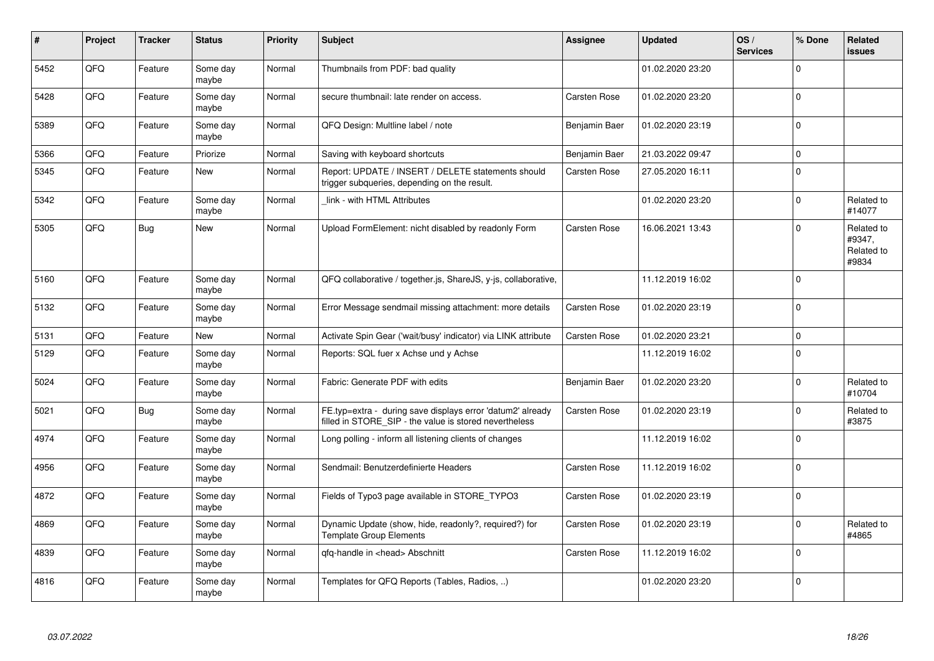| #    | Project | <b>Tracker</b> | <b>Status</b>     | <b>Priority</b> | <b>Subject</b>                                                                                                       | Assignee            | <b>Updated</b>   | OS/<br><b>Services</b> | % Done         | Related<br><b>issues</b>                    |
|------|---------|----------------|-------------------|-----------------|----------------------------------------------------------------------------------------------------------------------|---------------------|------------------|------------------------|----------------|---------------------------------------------|
| 5452 | QFQ     | Feature        | Some day<br>maybe | Normal          | Thumbnails from PDF: bad quality                                                                                     |                     | 01.02.2020 23:20 |                        | $\Omega$       |                                             |
| 5428 | QFQ     | Feature        | Some day<br>maybe | Normal          | secure thumbnail: late render on access.                                                                             | Carsten Rose        | 01.02.2020 23:20 |                        | $\mathbf 0$    |                                             |
| 5389 | QFQ     | Feature        | Some day<br>maybe | Normal          | QFQ Design: Multline label / note                                                                                    | Benjamin Baer       | 01.02.2020 23:19 |                        | $\Omega$       |                                             |
| 5366 | QFQ     | Feature        | Priorize          | Normal          | Saving with keyboard shortcuts                                                                                       | Benjamin Baer       | 21.03.2022 09:47 |                        | $\mathbf 0$    |                                             |
| 5345 | QFQ     | Feature        | <b>New</b>        | Normal          | Report: UPDATE / INSERT / DELETE statements should<br>trigger subqueries, depending on the result.                   | Carsten Rose        | 27.05.2020 16:11 |                        | $\Omega$       |                                             |
| 5342 | QFQ     | Feature        | Some day<br>maybe | Normal          | link - with HTML Attributes                                                                                          |                     | 01.02.2020 23:20 |                        | $\Omega$       | Related to<br>#14077                        |
| 5305 | QFQ     | <b>Bug</b>     | <b>New</b>        | Normal          | Upload FormElement: nicht disabled by readonly Form                                                                  | <b>Carsten Rose</b> | 16.06.2021 13:43 |                        | $\Omega$       | Related to<br>#9347,<br>Related to<br>#9834 |
| 5160 | QFQ     | Feature        | Some day<br>maybe | Normal          | QFQ collaborative / together.js, ShareJS, y-js, collaborative,                                                       |                     | 11.12.2019 16:02 |                        | $\mathbf 0$    |                                             |
| 5132 | QFQ     | Feature        | Some day<br>maybe | Normal          | Error Message sendmail missing attachment: more details                                                              | Carsten Rose        | 01.02.2020 23:19 |                        | $\Omega$       |                                             |
| 5131 | QFQ     | Feature        | New               | Normal          | Activate Spin Gear ('wait/busy' indicator) via LINK attribute                                                        | Carsten Rose        | 01.02.2020 23:21 |                        | $\mathbf 0$    |                                             |
| 5129 | QFQ     | Feature        | Some day<br>maybe | Normal          | Reports: SQL fuer x Achse und y Achse                                                                                |                     | 11.12.2019 16:02 |                        | $\Omega$       |                                             |
| 5024 | QFQ     | Feature        | Some day<br>maybe | Normal          | Fabric: Generate PDF with edits                                                                                      | Benjamin Baer       | 01.02.2020 23:20 |                        | $\Omega$       | Related to<br>#10704                        |
| 5021 | QFQ     | <b>Bug</b>     | Some day<br>maybe | Normal          | FE.typ=extra - during save displays error 'datum2' already<br>filled in STORE SIP - the value is stored nevertheless | Carsten Rose        | 01.02.2020 23:19 |                        | 0              | Related to<br>#3875                         |
| 4974 | QFQ     | Feature        | Some day<br>maybe | Normal          | Long polling - inform all listening clients of changes                                                               |                     | 11.12.2019 16:02 |                        | $\overline{0}$ |                                             |
| 4956 | QFQ     | Feature        | Some day<br>maybe | Normal          | Sendmail: Benutzerdefinierte Headers                                                                                 | Carsten Rose        | 11.12.2019 16:02 |                        | $\mathbf 0$    |                                             |
| 4872 | QFQ     | Feature        | Some day<br>maybe | Normal          | Fields of Typo3 page available in STORE TYPO3                                                                        | Carsten Rose        | 01.02.2020 23:19 |                        | $\mathbf 0$    |                                             |
| 4869 | QFQ     | Feature        | Some day<br>maybe | Normal          | Dynamic Update (show, hide, readonly?, required?) for<br><b>Template Group Elements</b>                              | Carsten Rose        | 01.02.2020 23:19 |                        | $\mathbf 0$    | Related to<br>#4865                         |
| 4839 | QFQ     | Feature        | Some day<br>maybe | Normal          | qfq-handle in <head> Abschnitt</head>                                                                                | Carsten Rose        | 11.12.2019 16:02 |                        | $\mathbf 0$    |                                             |
| 4816 | QFQ     | Feature        | Some day<br>maybe | Normal          | Templates for QFQ Reports (Tables, Radios, )                                                                         |                     | 01.02.2020 23:20 |                        | $\Omega$       |                                             |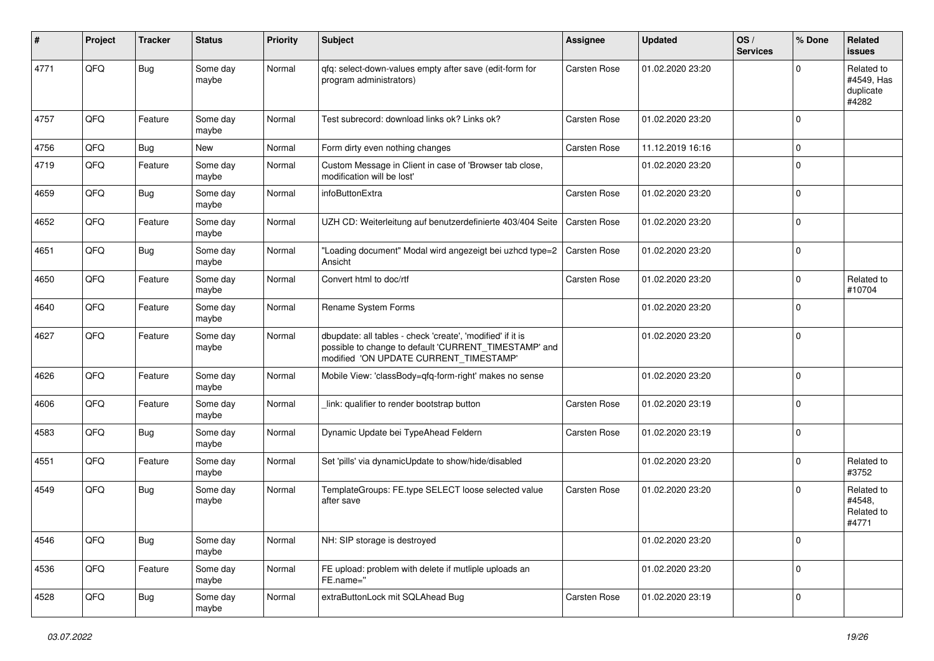| ∦    | Project | <b>Tracker</b> | <b>Status</b>     | <b>Priority</b> | <b>Subject</b>                                                                                                                                                | Assignee            | <b>Updated</b>   | OS/<br><b>Services</b> | % Done       | Related<br>issues                              |
|------|---------|----------------|-------------------|-----------------|---------------------------------------------------------------------------------------------------------------------------------------------------------------|---------------------|------------------|------------------------|--------------|------------------------------------------------|
| 4771 | QFQ     | Bug            | Some day<br>maybe | Normal          | qfq: select-down-values empty after save (edit-form for<br>program administrators)                                                                            | Carsten Rose        | 01.02.2020 23:20 |                        | <sup>0</sup> | Related to<br>#4549, Has<br>duplicate<br>#4282 |
| 4757 | QFQ     | Feature        | Some day<br>maybe | Normal          | Test subrecord: download links ok? Links ok?                                                                                                                  | Carsten Rose        | 01.02.2020 23:20 |                        | $\Omega$     |                                                |
| 4756 | QFQ     | Bug            | New               | Normal          | Form dirty even nothing changes                                                                                                                               | Carsten Rose        | 11.12.2019 16:16 |                        | $\mathbf 0$  |                                                |
| 4719 | QFQ     | Feature        | Some day<br>maybe | Normal          | Custom Message in Client in case of 'Browser tab close,<br>modification will be lost'                                                                         |                     | 01.02.2020 23:20 |                        | 0            |                                                |
| 4659 | QFQ     | <b>Bug</b>     | Some day<br>maybe | Normal          | infoButtonExtra                                                                                                                                               | Carsten Rose        | 01.02.2020 23:20 |                        | $\mathbf 0$  |                                                |
| 4652 | QFQ     | Feature        | Some day<br>maybe | Normal          | UZH CD: Weiterleitung auf benutzerdefinierte 403/404 Seite                                                                                                    | Carsten Rose        | 01.02.2020 23:20 |                        | $\Omega$     |                                                |
| 4651 | QFQ     | <b>Bug</b>     | Some day<br>maybe | Normal          | "Loading document" Modal wird angezeigt bei uzhcd type=2<br>Ansicht                                                                                           | <b>Carsten Rose</b> | 01.02.2020 23:20 |                        | $\Omega$     |                                                |
| 4650 | QFQ     | Feature        | Some day<br>maybe | Normal          | Convert html to doc/rtf                                                                                                                                       | Carsten Rose        | 01.02.2020 23:20 |                        | $\Omega$     | Related to<br>#10704                           |
| 4640 | QFQ     | Feature        | Some day<br>maybe | Normal          | Rename System Forms                                                                                                                                           |                     | 01.02.2020 23:20 |                        | $\Omega$     |                                                |
| 4627 | QFQ     | Feature        | Some day<br>maybe | Normal          | dbupdate: all tables - check 'create', 'modified' if it is<br>possible to change to default 'CURRENT_TIMESTAMP' and<br>modified 'ON UPDATE CURRENT_TIMESTAMP' |                     | 01.02.2020 23:20 |                        | $\mathbf 0$  |                                                |
| 4626 | QFQ     | Feature        | Some day<br>maybe | Normal          | Mobile View: 'classBody=qfq-form-right' makes no sense                                                                                                        |                     | 01.02.2020 23:20 |                        | $\Omega$     |                                                |
| 4606 | QFQ     | Feature        | Some day<br>maybe | Normal          | link: qualifier to render bootstrap button                                                                                                                    | Carsten Rose        | 01.02.2020 23:19 |                        | $\Omega$     |                                                |
| 4583 | QFQ     | <b>Bug</b>     | Some day<br>maybe | Normal          | Dynamic Update bei TypeAhead Feldern                                                                                                                          | Carsten Rose        | 01.02.2020 23:19 |                        | $\Omega$     |                                                |
| 4551 | QFQ     | Feature        | Some day<br>maybe | Normal          | Set 'pills' via dynamicUpdate to show/hide/disabled                                                                                                           |                     | 01.02.2020 23:20 |                        | $\Omega$     | Related to<br>#3752                            |
| 4549 | QFQ     | <b>Bug</b>     | Some day<br>maybe | Normal          | TemplateGroups: FE.type SELECT loose selected value<br>after save                                                                                             | Carsten Rose        | 01.02.2020 23:20 |                        | $\Omega$     | Related to<br>#4548,<br>Related to<br>#4771    |
| 4546 | QFQ     | <b>Bug</b>     | Some day<br>maybe | Normal          | NH: SIP storage is destroyed                                                                                                                                  |                     | 01.02.2020 23:20 |                        | $\mathbf 0$  |                                                |
| 4536 | QFQ     | Feature        | Some day<br>maybe | Normal          | FE upload: problem with delete if mutliple uploads an<br>FE.name="                                                                                            |                     | 01.02.2020 23:20 |                        | $\mathbf 0$  |                                                |
| 4528 | QFQ     | Bug            | Some day<br>maybe | Normal          | extraButtonLock mit SQLAhead Bug                                                                                                                              | Carsten Rose        | 01.02.2020 23:19 |                        | $\mathbf 0$  |                                                |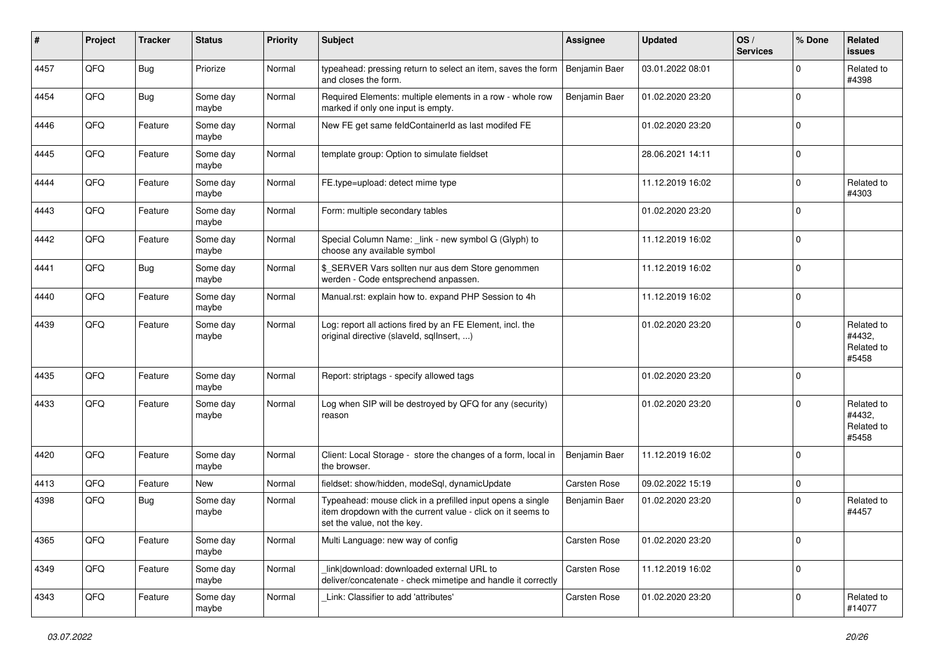| #    | Project | <b>Tracker</b> | <b>Status</b>     | <b>Priority</b> | Subject                                                                                                                                                  | <b>Assignee</b> | <b>Updated</b>   | OS/<br><b>Services</b> | % Done      | Related<br><b>issues</b>                    |
|------|---------|----------------|-------------------|-----------------|----------------------------------------------------------------------------------------------------------------------------------------------------------|-----------------|------------------|------------------------|-------------|---------------------------------------------|
| 4457 | QFQ     | Bug            | Priorize          | Normal          | typeahead: pressing return to select an item, saves the form<br>and closes the form.                                                                     | Benjamin Baer   | 03.01.2022 08:01 |                        | $\Omega$    | Related to<br>#4398                         |
| 4454 | QFQ     | <b>Bug</b>     | Some day<br>maybe | Normal          | Required Elements: multiple elements in a row - whole row<br>marked if only one input is empty.                                                          | Benjamin Baer   | 01.02.2020 23:20 |                        | $\mathbf 0$ |                                             |
| 4446 | QFQ     | Feature        | Some day<br>maybe | Normal          | New FE get same feldContainerId as last modifed FE                                                                                                       |                 | 01.02.2020 23:20 |                        | $\mathbf 0$ |                                             |
| 4445 | QFQ     | Feature        | Some day<br>maybe | Normal          | template group: Option to simulate fieldset                                                                                                              |                 | 28.06.2021 14:11 |                        | $\mathbf 0$ |                                             |
| 4444 | QFQ     | Feature        | Some day<br>maybe | Normal          | FE.type=upload: detect mime type                                                                                                                         |                 | 11.12.2019 16:02 |                        | $\mathbf 0$ | Related to<br>#4303                         |
| 4443 | QFQ     | Feature        | Some day<br>maybe | Normal          | Form: multiple secondary tables                                                                                                                          |                 | 01.02.2020 23:20 |                        | $\Omega$    |                                             |
| 4442 | QFQ     | Feature        | Some day<br>maybe | Normal          | Special Column Name: _link - new symbol G (Glyph) to<br>choose any available symbol                                                                      |                 | 11.12.2019 16:02 |                        | $\Omega$    |                                             |
| 4441 | QFQ     | Bug            | Some day<br>maybe | Normal          | \$_SERVER Vars sollten nur aus dem Store genommen<br>werden - Code entsprechend anpassen.                                                                |                 | 11.12.2019 16:02 |                        | $\mathbf 0$ |                                             |
| 4440 | QFQ     | Feature        | Some day<br>maybe | Normal          | Manual.rst: explain how to. expand PHP Session to 4h                                                                                                     |                 | 11.12.2019 16:02 |                        | 0           |                                             |
| 4439 | QFQ     | Feature        | Some day<br>maybe | Normal          | Log: report all actions fired by an FE Element, incl. the<br>original directive (slaveld, sqllnsert, )                                                   |                 | 01.02.2020 23:20 |                        | $\Omega$    | Related to<br>#4432,<br>Related to<br>#5458 |
| 4435 | QFQ     | Feature        | Some day<br>maybe | Normal          | Report: striptags - specify allowed tags                                                                                                                 |                 | 01.02.2020 23:20 |                        | 0           |                                             |
| 4433 | QFQ     | Feature        | Some day<br>maybe | Normal          | Log when SIP will be destroyed by QFQ for any (security)<br>reason                                                                                       |                 | 01.02.2020 23:20 |                        | $\Omega$    | Related to<br>#4432,<br>Related to<br>#5458 |
| 4420 | QFQ     | Feature        | Some day<br>maybe | Normal          | Client: Local Storage - store the changes of a form, local in<br>the browser.                                                                            | Benjamin Baer   | 11.12.2019 16:02 |                        | 0           |                                             |
| 4413 | QFQ     | Feature        | New               | Normal          | fieldset: show/hidden, modeSql, dynamicUpdate                                                                                                            | Carsten Rose    | 09.02.2022 15:19 |                        | 0           |                                             |
| 4398 | QFQ     | Bug            | Some day<br>maybe | Normal          | Typeahead: mouse click in a prefilled input opens a single<br>item dropdown with the current value - click on it seems to<br>set the value, not the key. | Benjamin Baer   | 01.02.2020 23:20 |                        | $\Omega$    | Related to<br>#4457                         |
| 4365 | QFQ     | Feature        | Some day<br>maybe | Normal          | Multi Language: new way of config                                                                                                                        | Carsten Rose    | 01.02.2020 23:20 |                        | 0           |                                             |
| 4349 | QFQ     | Feature        | Some day<br>maybe | Normal          | link download: downloaded external URL to<br>deliver/concatenate - check mimetipe and handle it correctly                                                | Carsten Rose    | 11.12.2019 16:02 |                        | 0           |                                             |
| 4343 | QFQ     | Feature        | Some day<br>maybe | Normal          | Link: Classifier to add 'attributes'                                                                                                                     | Carsten Rose    | 01.02.2020 23:20 |                        | 0           | Related to<br>#14077                        |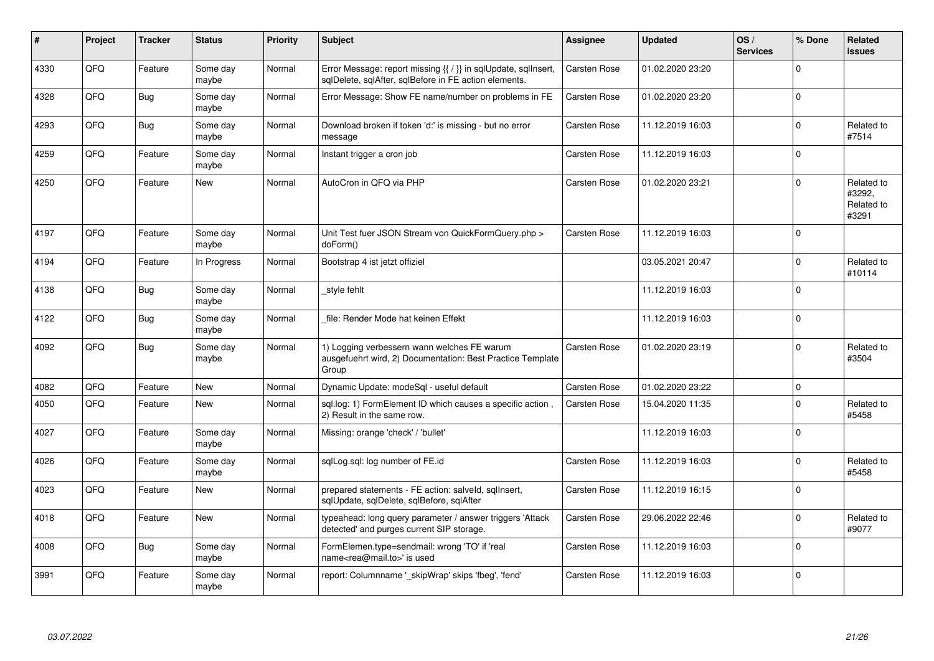| ∦    | Project | <b>Tracker</b> | <b>Status</b>     | <b>Priority</b> | <b>Subject</b>                                                                                                          | Assignee            | <b>Updated</b>   | OS/<br><b>Services</b> | % Done      | Related<br><b>issues</b>                    |
|------|---------|----------------|-------------------|-----------------|-------------------------------------------------------------------------------------------------------------------------|---------------------|------------------|------------------------|-------------|---------------------------------------------|
| 4330 | QFQ     | Feature        | Some day<br>maybe | Normal          | Error Message: report missing {{ / }} in sqlUpdate, sqlInsert,<br>sqlDelete, sqlAfter, sqlBefore in FE action elements. | Carsten Rose        | 01.02.2020 23:20 |                        | $\Omega$    |                                             |
| 4328 | QFQ     | <b>Bug</b>     | Some day<br>maybe | Normal          | Error Message: Show FE name/number on problems in FE                                                                    | Carsten Rose        | 01.02.2020 23:20 |                        | $\Omega$    |                                             |
| 4293 | QFQ     | Bug            | Some day<br>maybe | Normal          | Download broken if token 'd:' is missing - but no error<br>message                                                      | Carsten Rose        | 11.12.2019 16:03 |                        | $\mathbf 0$ | Related to<br>#7514                         |
| 4259 | QFQ     | Feature        | Some day<br>maybe | Normal          | Instant trigger a cron job                                                                                              | Carsten Rose        | 11.12.2019 16:03 |                        | $\Omega$    |                                             |
| 4250 | QFQ     | Feature        | <b>New</b>        | Normal          | AutoCron in QFQ via PHP                                                                                                 | Carsten Rose        | 01.02.2020 23:21 |                        | $\Omega$    | Related to<br>#3292.<br>Related to<br>#3291 |
| 4197 | QFQ     | Feature        | Some day<br>maybe | Normal          | Unit Test fuer JSON Stream von QuickFormQuery.php ><br>doForm()                                                         | Carsten Rose        | 11.12.2019 16:03 |                        | $\Omega$    |                                             |
| 4194 | QFQ     | Feature        | In Progress       | Normal          | Bootstrap 4 ist jetzt offiziel                                                                                          |                     | 03.05.2021 20:47 |                        | $\Omega$    | Related to<br>#10114                        |
| 4138 | QFQ     | Bug            | Some day<br>maybe | Normal          | style fehlt                                                                                                             |                     | 11.12.2019 16:03 |                        | $\Omega$    |                                             |
| 4122 | QFQ     | Bug            | Some day<br>maybe | Normal          | file: Render Mode hat keinen Effekt                                                                                     |                     | 11.12.2019 16:03 |                        | $\Omega$    |                                             |
| 4092 | QFQ     | Bug            | Some day<br>maybe | Normal          | 1) Logging verbessern wann welches FE warum<br>ausgefuehrt wird, 2) Documentation: Best Practice Template<br>Group      | <b>Carsten Rose</b> | 01.02.2020 23:19 |                        | $\Omega$    | Related to<br>#3504                         |
| 4082 | QFQ     | Feature        | <b>New</b>        | Normal          | Dynamic Update: modeSql - useful default                                                                                | Carsten Rose        | 01.02.2020 23:22 |                        | $\Omega$    |                                             |
| 4050 | QFQ     | Feature        | New               | Normal          | sql.log: 1) FormElement ID which causes a specific action,<br>2) Result in the same row.                                | Carsten Rose        | 15.04.2020 11:35 |                        | $\Omega$    | Related to<br>#5458                         |
| 4027 | QFQ     | Feature        | Some day<br>maybe | Normal          | Missing: orange 'check' / 'bullet'                                                                                      |                     | 11.12.2019 16:03 |                        | $\Omega$    |                                             |
| 4026 | QFQ     | Feature        | Some day<br>maybe | Normal          | sqlLog.sql: log number of FE.id                                                                                         | Carsten Rose        | 11.12.2019 16:03 |                        | $\Omega$    | Related to<br>#5458                         |
| 4023 | QFQ     | Feature        | New               | Normal          | prepared statements - FE action: salveld, sqlInsert,<br>sqlUpdate, sqlDelete, sqlBefore, sqlAfter                       | Carsten Rose        | 11.12.2019 16:15 |                        | $\Omega$    |                                             |
| 4018 | QFQ     | Feature        | New               | Normal          | typeahead: long query parameter / answer triggers 'Attack<br>detected' and purges current SIP storage.                  | Carsten Rose        | 29.06.2022 22:46 |                        | $\mathbf 0$ | Related to<br>#9077                         |
| 4008 | QFQ     | <b>Bug</b>     | Some day<br>maybe | Normal          | FormElemen.type=sendmail: wrong 'TO' if 'real<br>name <rea@mail.to>' is used</rea@mail.to>                              | Carsten Rose        | 11.12.2019 16:03 |                        | $\Omega$    |                                             |
| 3991 | QFQ     | Feature        | Some day<br>maybe | Normal          | report: Columnname '_skipWrap' skips 'fbeg', 'fend'                                                                     | <b>Carsten Rose</b> | 11.12.2019 16:03 |                        | $\Omega$    |                                             |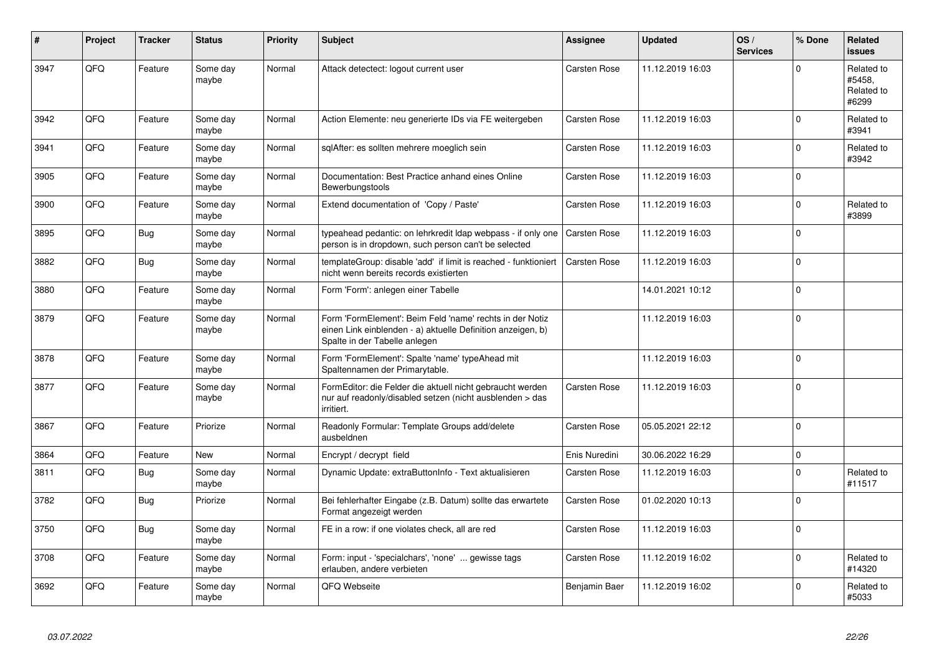| #    | Project | <b>Tracker</b> | <b>Status</b>     | <b>Priority</b> | <b>Subject</b>                                                                                                                                           | Assignee      | <b>Updated</b>   | OS/<br><b>Services</b> | % Done         | Related<br><b>issues</b>                    |
|------|---------|----------------|-------------------|-----------------|----------------------------------------------------------------------------------------------------------------------------------------------------------|---------------|------------------|------------------------|----------------|---------------------------------------------|
| 3947 | QFQ     | Feature        | Some day<br>maybe | Normal          | Attack detectect: logout current user                                                                                                                    | Carsten Rose  | 11.12.2019 16:03 |                        | $\Omega$       | Related to<br>#5458,<br>Related to<br>#6299 |
| 3942 | QFQ     | Feature        | Some day<br>maybe | Normal          | Action Elemente: neu generierte IDs via FE weitergeben                                                                                                   | Carsten Rose  | 11.12.2019 16:03 |                        | $\mathbf 0$    | Related to<br>#3941                         |
| 3941 | QFQ     | Feature        | Some day<br>maybe | Normal          | sqlAfter: es sollten mehrere moeglich sein                                                                                                               | Carsten Rose  | 11.12.2019 16:03 |                        | $\Omega$       | Related to<br>#3942                         |
| 3905 | QFQ     | Feature        | Some day<br>maybe | Normal          | Documentation: Best Practice anhand eines Online<br>Bewerbungstools                                                                                      | Carsten Rose  | 11.12.2019 16:03 |                        | $\mathbf 0$    |                                             |
| 3900 | QFQ     | Feature        | Some day<br>maybe | Normal          | Extend documentation of 'Copy / Paste'                                                                                                                   | Carsten Rose  | 11.12.2019 16:03 |                        | $\Omega$       | Related to<br>#3899                         |
| 3895 | QFQ     | <b>Bug</b>     | Some day<br>maybe | Normal          | typeahead pedantic: on lehrkredit Idap webpass - if only one<br>person is in dropdown, such person can't be selected                                     | Carsten Rose  | 11.12.2019 16:03 |                        | $\Omega$       |                                             |
| 3882 | QFQ     | <b>Bug</b>     | Some day<br>maybe | Normal          | templateGroup: disable 'add' if limit is reached - funktioniert<br>nicht wenn bereits records existierten                                                | Carsten Rose  | 11.12.2019 16:03 |                        | $\Omega$       |                                             |
| 3880 | QFQ     | Feature        | Some day<br>maybe | Normal          | Form 'Form': anlegen einer Tabelle                                                                                                                       |               | 14.01.2021 10:12 |                        | $\mathbf 0$    |                                             |
| 3879 | QFQ     | Feature        | Some day<br>maybe | Normal          | Form 'FormElement': Beim Feld 'name' rechts in der Notiz<br>einen Link einblenden - a) aktuelle Definition anzeigen, b)<br>Spalte in der Tabelle anlegen |               | 11.12.2019 16:03 |                        | $\mathbf 0$    |                                             |
| 3878 | QFQ     | Feature        | Some day<br>maybe | Normal          | Form 'FormElement': Spalte 'name' typeAhead mit<br>Spaltennamen der Primarytable.                                                                        |               | 11.12.2019 16:03 |                        | $\mathbf 0$    |                                             |
| 3877 | QFQ     | Feature        | Some day<br>maybe | Normal          | FormEditor: die Felder die aktuell nicht gebraucht werden<br>nur auf readonly/disabled setzen (nicht ausblenden > das<br>irritiert.                      | Carsten Rose  | 11.12.2019 16:03 |                        | $\mathbf 0$    |                                             |
| 3867 | QFG     | Feature        | Priorize          | Normal          | Readonly Formular: Template Groups add/delete<br>ausbeldnen                                                                                              | Carsten Rose  | 05.05.2021 22:12 |                        | $\overline{0}$ |                                             |
| 3864 | QFQ     | Feature        | <b>New</b>        | Normal          | Encrypt / decrypt field                                                                                                                                  | Enis Nuredini | 30.06.2022 16:29 |                        | $\pmb{0}$      |                                             |
| 3811 | QFQ     | Bug            | Some day<br>maybe | Normal          | Dynamic Update: extraButtonInfo - Text aktualisieren                                                                                                     | Carsten Rose  | 11.12.2019 16:03 |                        | $\Omega$       | Related to<br>#11517                        |
| 3782 | QFQ     | <b>Bug</b>     | Priorize          | Normal          | Bei fehlerhafter Eingabe (z.B. Datum) sollte das erwartete<br>Format angezeigt werden                                                                    | Carsten Rose  | 01.02.2020 10:13 |                        | $\Omega$       |                                             |
| 3750 | QFQ     | <b>Bug</b>     | Some day<br>maybe | Normal          | FE in a row: if one violates check, all are red                                                                                                          | Carsten Rose  | 11.12.2019 16:03 |                        | $\Omega$       |                                             |
| 3708 | QFQ     | Feature        | Some day<br>maybe | Normal          | Form: input - 'specialchars', 'none'  gewisse tags<br>erlauben, andere verbieten                                                                         | Carsten Rose  | 11.12.2019 16:02 |                        | $\Omega$       | Related to<br>#14320                        |
| 3692 | QFQ     | Feature        | Some day<br>maybe | Normal          | QFQ Webseite                                                                                                                                             | Benjamin Baer | 11.12.2019 16:02 |                        | $\Omega$       | Related to<br>#5033                         |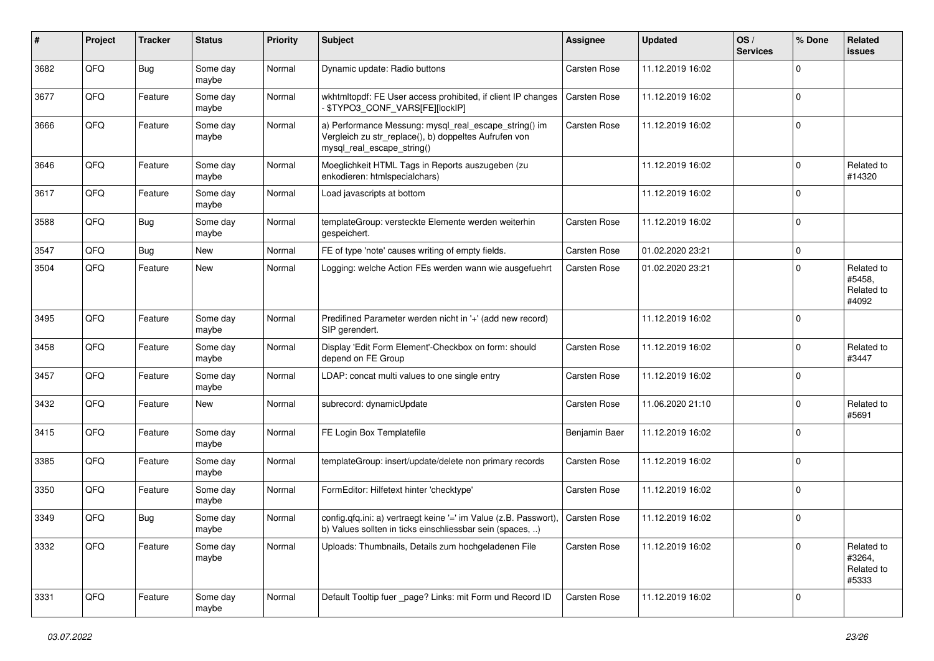| #    | Project | <b>Tracker</b> | <b>Status</b>     | <b>Priority</b> | <b>Subject</b>                                                                                                                               | Assignee            | <b>Updated</b>   | OS/<br><b>Services</b> | % Done      | Related<br>issues                           |
|------|---------|----------------|-------------------|-----------------|----------------------------------------------------------------------------------------------------------------------------------------------|---------------------|------------------|------------------------|-------------|---------------------------------------------|
| 3682 | QFQ     | Bug            | Some day<br>maybe | Normal          | Dynamic update: Radio buttons                                                                                                                | Carsten Rose        | 11.12.2019 16:02 |                        | $\Omega$    |                                             |
| 3677 | QFQ     | Feature        | Some day<br>maybe | Normal          | wkhtmltopdf: FE User access prohibited, if client IP changes<br>\$TYPO3_CONF_VARS[FE][lockIP]                                                | <b>Carsten Rose</b> | 11.12.2019 16:02 |                        | $\mathbf 0$ |                                             |
| 3666 | QFQ     | Feature        | Some day<br>maybe | Normal          | a) Performance Messung: mysql_real_escape_string() im<br>Vergleich zu str_replace(), b) doppeltes Aufrufen von<br>mysql_real_escape_string() | <b>Carsten Rose</b> | 11.12.2019 16:02 |                        | $\Omega$    |                                             |
| 3646 | QFQ     | Feature        | Some day<br>maybe | Normal          | Moeglichkeit HTML Tags in Reports auszugeben (zu<br>enkodieren: htmlspecialchars)                                                            |                     | 11.12.2019 16:02 |                        | $\Omega$    | Related to<br>#14320                        |
| 3617 | QFQ     | Feature        | Some day<br>maybe | Normal          | Load javascripts at bottom                                                                                                                   |                     | 11.12.2019 16:02 |                        | $\Omega$    |                                             |
| 3588 | QFQ     | Bug            | Some day<br>maybe | Normal          | templateGroup: versteckte Elemente werden weiterhin<br>gespeichert.                                                                          | <b>Carsten Rose</b> | 11.12.2019 16:02 |                        | $\Omega$    |                                             |
| 3547 | QFQ     | <b>Bug</b>     | <b>New</b>        | Normal          | FE of type 'note' causes writing of empty fields.                                                                                            | Carsten Rose        | 01.02.2020 23:21 |                        | $\mathbf 0$ |                                             |
| 3504 | QFQ     | Feature        | New               | Normal          | Logging: welche Action FEs werden wann wie ausgefuehrt                                                                                       | <b>Carsten Rose</b> | 01.02.2020 23:21 |                        | $\Omega$    | Related to<br>#5458,<br>Related to<br>#4092 |
| 3495 | QFQ     | Feature        | Some day<br>maybe | Normal          | Predifined Parameter werden nicht in '+' (add new record)<br>SIP gerendert.                                                                  |                     | 11.12.2019 16:02 |                        | $\Omega$    |                                             |
| 3458 | QFQ     | Feature        | Some day<br>maybe | Normal          | Display 'Edit Form Element'-Checkbox on form: should<br>depend on FE Group                                                                   | Carsten Rose        | 11.12.2019 16:02 |                        | $\Omega$    | Related to<br>#3447                         |
| 3457 | QFQ     | Feature        | Some day<br>maybe | Normal          | LDAP: concat multi values to one single entry                                                                                                | Carsten Rose        | 11.12.2019 16:02 |                        | $\Omega$    |                                             |
| 3432 | QFQ     | Feature        | New               | Normal          | subrecord: dynamicUpdate                                                                                                                     | <b>Carsten Rose</b> | 11.06.2020 21:10 |                        | $\Omega$    | Related to<br>#5691                         |
| 3415 | QFQ     | Feature        | Some day<br>maybe | Normal          | FE Login Box Templatefile                                                                                                                    | Benjamin Baer       | 11.12.2019 16:02 |                        | $\Omega$    |                                             |
| 3385 | QFQ     | Feature        | Some day<br>maybe | Normal          | templateGroup: insert/update/delete non primary records                                                                                      | <b>Carsten Rose</b> | 11.12.2019 16:02 |                        | $\mathbf 0$ |                                             |
| 3350 | QFQ     | Feature        | Some day<br>maybe | Normal          | FormEditor: Hilfetext hinter 'checktype'                                                                                                     | <b>Carsten Rose</b> | 11.12.2019 16:02 |                        | $\mathbf 0$ |                                             |
| 3349 | QFQ     | Bug            | Some day<br>maybe | Normal          | config.qfq.ini: a) vertraegt keine '=' im Value (z.B. Passwort),   Carsten Rose<br>b) Values sollten in ticks einschliessbar sein (spaces, ) |                     | 11.12.2019 16:02 |                        | $\Omega$    |                                             |
| 3332 | QFQ     | Feature        | Some day<br>maybe | Normal          | Uploads: Thumbnails, Details zum hochgeladenen File                                                                                          | Carsten Rose        | 11.12.2019 16:02 |                        | 0           | Related to<br>#3264,<br>Related to<br>#5333 |
| 3331 | QFQ     | Feature        | Some day<br>maybe | Normal          | Default Tooltip fuer _page? Links: mit Form und Record ID                                                                                    | Carsten Rose        | 11.12.2019 16:02 |                        | 0           |                                             |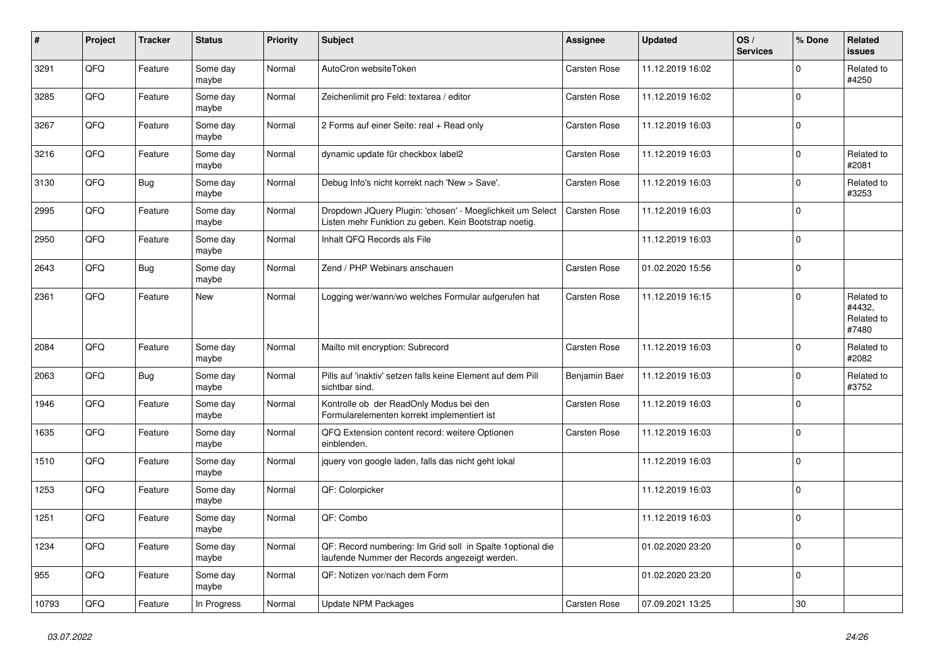| $\vert$ # | Project | <b>Tracker</b> | <b>Status</b>     | <b>Priority</b> | <b>Subject</b>                                                                                                     | Assignee            | <b>Updated</b>   | OS/<br><b>Services</b> | % Done      | Related<br><b>issues</b>                    |
|-----------|---------|----------------|-------------------|-----------------|--------------------------------------------------------------------------------------------------------------------|---------------------|------------------|------------------------|-------------|---------------------------------------------|
| 3291      | QFQ     | Feature        | Some day<br>maybe | Normal          | AutoCron websiteToken                                                                                              | Carsten Rose        | 11.12.2019 16:02 |                        | $\Omega$    | Related to<br>#4250                         |
| 3285      | QFQ     | Feature        | Some day<br>maybe | Normal          | Zeichenlimit pro Feld: textarea / editor                                                                           | Carsten Rose        | 11.12.2019 16:02 |                        | $\pmb{0}$   |                                             |
| 3267      | QFQ     | Feature        | Some day<br>maybe | Normal          | 2 Forms auf einer Seite: real + Read only                                                                          | Carsten Rose        | 11.12.2019 16:03 |                        | $\Omega$    |                                             |
| 3216      | QFQ     | Feature        | Some day<br>maybe | Normal          | dynamic update für checkbox label2                                                                                 | Carsten Rose        | 11.12.2019 16:03 |                        | $\Omega$    | Related to<br>#2081                         |
| 3130      | QFQ     | Bug            | Some day<br>maybe | Normal          | Debug Info's nicht korrekt nach 'New > Save'.                                                                      | Carsten Rose        | 11.12.2019 16:03 |                        | $\Omega$    | Related to<br>#3253                         |
| 2995      | QFQ     | Feature        | Some day<br>maybe | Normal          | Dropdown JQuery Plugin: 'chosen' - Moeglichkeit um Select<br>Listen mehr Funktion zu geben. Kein Bootstrap noetig. | Carsten Rose        | 11.12.2019 16:03 |                        | $\Omega$    |                                             |
| 2950      | QFQ     | Feature        | Some day<br>maybe | Normal          | Inhalt QFQ Records als File                                                                                        |                     | 11.12.2019 16:03 |                        | $\Omega$    |                                             |
| 2643      | QFQ     | <b>Bug</b>     | Some day<br>maybe | Normal          | Zend / PHP Webinars anschauen                                                                                      | Carsten Rose        | 01.02.2020 15:56 |                        | $\mathbf 0$ |                                             |
| 2361      | QFQ     | Feature        | <b>New</b>        | Normal          | Logging wer/wann/wo welches Formular aufgerufen hat                                                                | Carsten Rose        | 11.12.2019 16:15 |                        | $\Omega$    | Related to<br>#4432,<br>Related to<br>#7480 |
| 2084      | QFQ     | Feature        | Some day<br>maybe | Normal          | Mailto mit encryption: Subrecord                                                                                   | Carsten Rose        | 11.12.2019 16:03 |                        | $\mathbf 0$ | Related to<br>#2082                         |
| 2063      | QFQ     | <b>Bug</b>     | Some day<br>maybe | Normal          | Pills auf 'inaktiv' setzen falls keine Element auf dem Pill<br>sichtbar sind.                                      | Benjamin Baer       | 11.12.2019 16:03 |                        | $\mathbf 0$ | Related to<br>#3752                         |
| 1946      | QFQ     | Feature        | Some day<br>maybe | Normal          | Kontrolle ob der ReadOnly Modus bei den<br>Formularelementen korrekt implementiert ist                             | Carsten Rose        | 11.12.2019 16:03 |                        | $\Omega$    |                                             |
| 1635      | QFQ     | Feature        | Some day<br>maybe | Normal          | QFQ Extension content record: weitere Optionen<br>einblenden.                                                      | Carsten Rose        | 11.12.2019 16:03 |                        | $\mathbf 0$ |                                             |
| 1510      | QFQ     | Feature        | Some day<br>maybe | Normal          | jquery von google laden, falls das nicht geht lokal                                                                |                     | 11.12.2019 16:03 |                        | $\mathbf 0$ |                                             |
| 1253      | QFQ     | Feature        | Some day<br>maybe | Normal          | QF: Colorpicker                                                                                                    |                     | 11.12.2019 16:03 |                        | $\Omega$    |                                             |
| 1251      | QFQ     | Feature        | Some day<br>maybe | Normal          | QF: Combo                                                                                                          |                     | 11.12.2019 16:03 |                        | $\Omega$    |                                             |
| 1234      | QFQ     | Feature        | Some day<br>maybe | Normal          | QF: Record numbering: Im Grid soll in Spalte 1 optional die<br>laufende Nummer der Records angezeigt werden.       |                     | 01.02.2020 23:20 |                        | $\mathbf 0$ |                                             |
| 955       | QFQ     | Feature        | Some day<br>maybe | Normal          | QF: Notizen vor/nach dem Form                                                                                      |                     | 01.02.2020 23:20 |                        | $\Omega$    |                                             |
| 10793     | QFQ     | Feature        | In Progress       | Normal          | <b>Update NPM Packages</b>                                                                                         | <b>Carsten Rose</b> | 07.09.2021 13:25 |                        | 30          |                                             |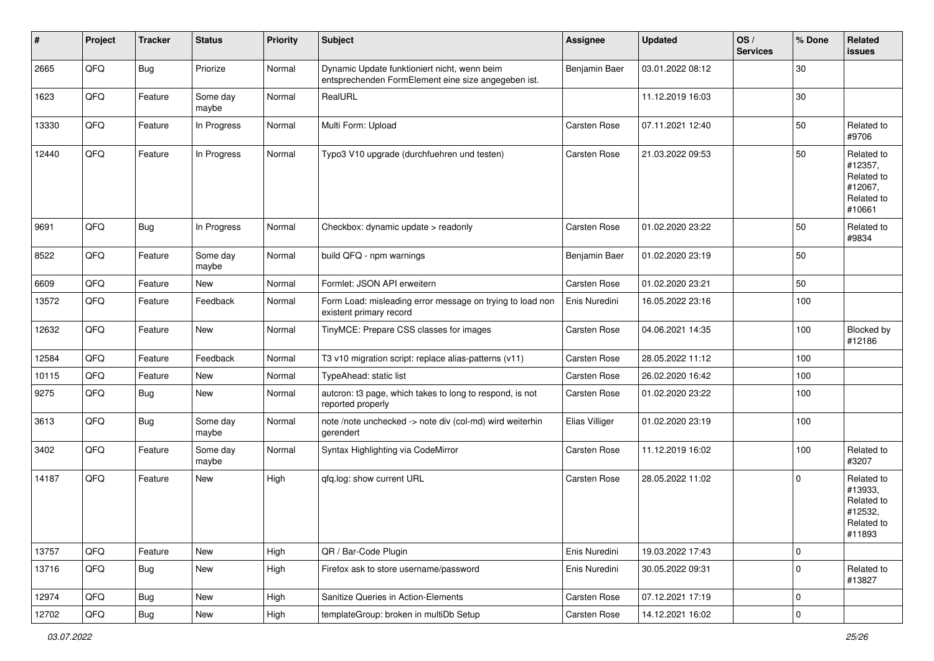| #     | Project | <b>Tracker</b> | <b>Status</b>     | <b>Priority</b> | Subject                                                                                             | <b>Assignee</b> | <b>Updated</b>   | OS/<br><b>Services</b> | % Done      | Related<br>issues                                                      |
|-------|---------|----------------|-------------------|-----------------|-----------------------------------------------------------------------------------------------------|-----------------|------------------|------------------------|-------------|------------------------------------------------------------------------|
| 2665  | QFQ     | <b>Bug</b>     | Priorize          | Normal          | Dynamic Update funktioniert nicht, wenn beim<br>entsprechenden FormElement eine size angegeben ist. | Benjamin Baer   | 03.01.2022 08:12 |                        | $30\,$      |                                                                        |
| 1623  | QFQ     | Feature        | Some day<br>maybe | Normal          | RealURL                                                                                             |                 | 11.12.2019 16:03 |                        | 30          |                                                                        |
| 13330 | QFQ     | Feature        | In Progress       | Normal          | Multi Form: Upload                                                                                  | Carsten Rose    | 07.11.2021 12:40 |                        | 50          | Related to<br>#9706                                                    |
| 12440 | QFQ     | Feature        | In Progress       | Normal          | Typo3 V10 upgrade (durchfuehren und testen)                                                         | Carsten Rose    | 21.03.2022 09:53 |                        | 50          | Related to<br>#12357,<br>Related to<br>#12067,<br>Related to<br>#10661 |
| 9691  | QFQ     | <b>Bug</b>     | In Progress       | Normal          | Checkbox: dynamic update > readonly                                                                 | Carsten Rose    | 01.02.2020 23:22 |                        | 50          | Related to<br>#9834                                                    |
| 8522  | QFQ     | Feature        | Some day<br>maybe | Normal          | build QFQ - npm warnings                                                                            | Benjamin Baer   | 01.02.2020 23:19 |                        | 50          |                                                                        |
| 6609  | QFQ     | Feature        | New               | Normal          | Formlet: JSON API erweitern                                                                         | Carsten Rose    | 01.02.2020 23:21 |                        | 50          |                                                                        |
| 13572 | QFQ     | Feature        | Feedback          | Normal          | Form Load: misleading error message on trying to load non<br>existent primary record                | Enis Nuredini   | 16.05.2022 23:16 |                        | 100         |                                                                        |
| 12632 | QFQ     | Feature        | New               | Normal          | TinyMCE: Prepare CSS classes for images                                                             | Carsten Rose    | 04.06.2021 14:35 |                        | 100         | Blocked by<br>#12186                                                   |
| 12584 | QFQ     | Feature        | Feedback          | Normal          | T3 v10 migration script: replace alias-patterns (v11)                                               | Carsten Rose    | 28.05.2022 11:12 |                        | 100         |                                                                        |
| 10115 | QFQ     | Feature        | New               | Normal          | TypeAhead: static list                                                                              | Carsten Rose    | 26.02.2020 16:42 |                        | 100         |                                                                        |
| 9275  | QFQ     | Bug            | New               | Normal          | autcron: t3 page, which takes to long to respond, is not<br>reported properly                       | Carsten Rose    | 01.02.2020 23:22 |                        | 100         |                                                                        |
| 3613  | QFQ     | <b>Bug</b>     | Some day<br>maybe | Normal          | note /note unchecked -> note div (col-md) wird weiterhin<br>gerendert                               | Elias Villiger  | 01.02.2020 23:19 |                        | 100         |                                                                        |
| 3402  | QFQ     | Feature        | Some day<br>maybe | Normal          | Syntax Highlighting via CodeMirror                                                                  | Carsten Rose    | 11.12.2019 16:02 |                        | 100         | Related to<br>#3207                                                    |
| 14187 | QFQ     | Feature        | New               | High            | qfq.log: show current URL                                                                           | Carsten Rose    | 28.05.2022 11:02 |                        | $\Omega$    | Related to<br>#13933,<br>Related to<br>#12532,<br>Related to<br>#11893 |
| 13757 | QFQ     | Feature        | New               | High            | QR / Bar-Code Plugin                                                                                | Enis Nuredini   | 19.03.2022 17:43 |                        | $\mathbf 0$ |                                                                        |
| 13716 | QFQ     | Bug            | New               | High            | Firefox ask to store username/password                                                              | Enis Nuredini   | 30.05.2022 09:31 |                        | $\mathbf 0$ | Related to<br>#13827                                                   |
| 12974 | QFQ     | <b>Bug</b>     | New               | High            | Sanitize Queries in Action-Elements                                                                 | Carsten Rose    | 07.12.2021 17:19 |                        | $\mathbf 0$ |                                                                        |
| 12702 | QFQ     | <b>Bug</b>     | New               | High            | templateGroup: broken in multiDb Setup                                                              | Carsten Rose    | 14.12.2021 16:02 |                        | $\mathbf 0$ |                                                                        |